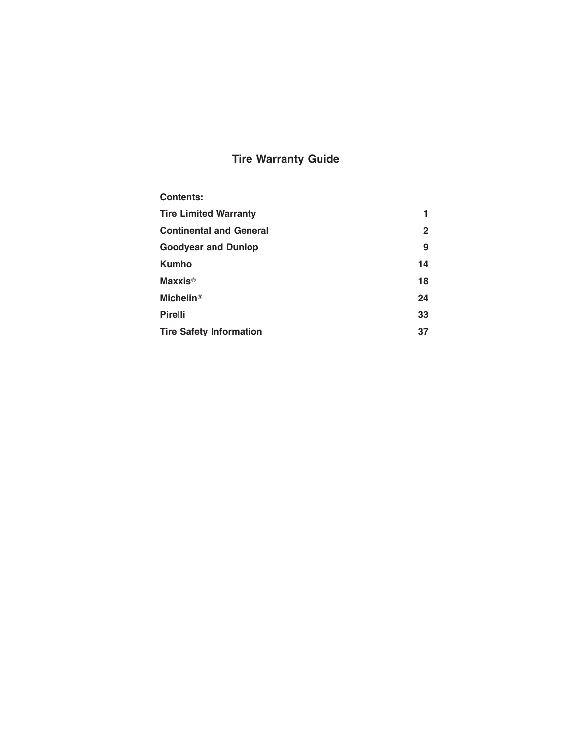# **Tire Warranty Guide**

| <b>Contents:</b>               |              |
|--------------------------------|--------------|
| <b>Tire Limited Warranty</b>   | 1            |
| <b>Continental and General</b> | $\mathbf{2}$ |
| <b>Goodyear and Dunlop</b>     | 9            |
| <b>Kumho</b>                   | 14           |
| <b>Maxxis<sup>®</sup></b>      | 18           |
| Michelin <sup>®</sup>          | 24           |
| <b>Pirelli</b>                 | 33           |
| <b>Tire Safety Information</b> | 37           |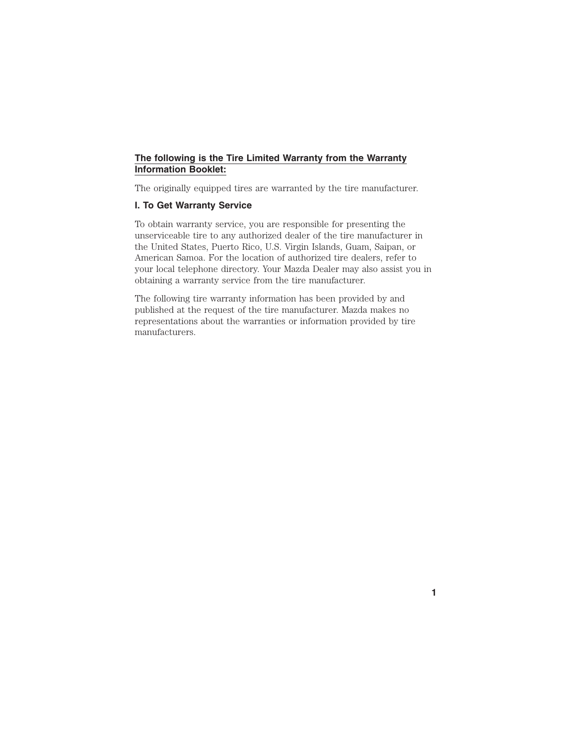## **The following is the Tire Limited Warranty from the Warranty Information Booklet:**

The originally equipped tires are warranted by the tire manufacturer.

## **I. To Get Warranty Service**

To obtain warranty service, you are responsible for presenting the unserviceable tire to any authorized dealer of the tire manufacturer in the United States, Puerto Rico, U.S. Virgin Islands, Guam, Saipan, or American Samoa. For the location of authorized tire dealers, refer to your local telephone directory. Your Mazda Dealer may also assist you in obtaining a warranty service from the tire manufacturer.

The following tire warranty information has been provided by and published at the request of the tire manufacturer. Mazda makes no representations about the warranties or information provided by tire manufacturers.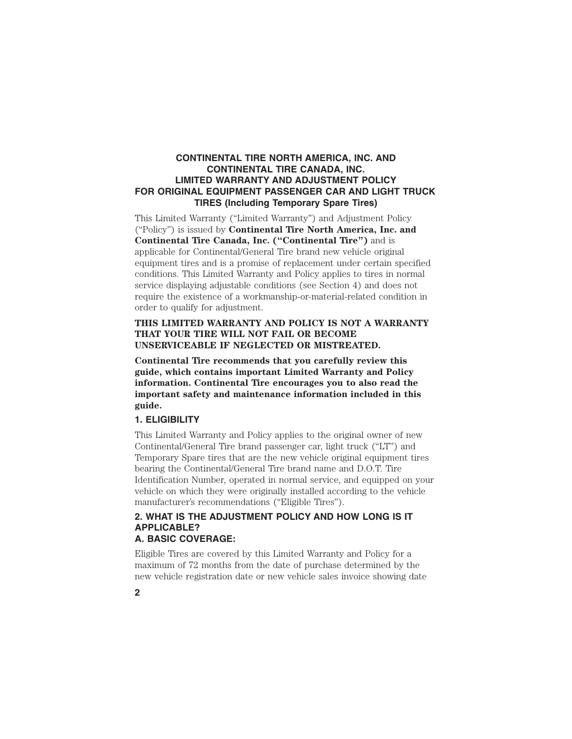## **CONTINENTAL TIRE NORTH AMERICA, INC. AND CONTINENTAL TIRE CANADA, INC. LIMITED WARRANTY AND ADJUSTMENT POLICY FOR ORIGINAL EQUIPMENT PASSENGER CAR AND LIGHT TRUCK TIRES (Including Temporary Spare Tires)**

This Limited Warranty ("Limited Warranty") and Adjustment Policy ("Policy") is issued by **Continental Tire North America, Inc. and Continental Tire Canada, Inc. ("Continental Tire")** and is applicable for Continental/General Tire brand new vehicle original equipment tires and is a promise of replacement under certain specified conditions. This Limited Warranty and Policy applies to tires in normal service displaying adjustable conditions (see Section 4) and does not require the existence of a workmanship-or-material-related condition in order to qualify for adjustment.

## **THIS LIMITED WARRANTY AND POLICY IS NOT A WARRANTY THAT YOUR TIRE WILL NOT FAIL OR BECOME UNSERVICEABLE IF NEGLECTED OR MISTREATED.**

**Continental Tire recommends that you carefully review this guide, which contains important Limited Warranty and Policy information. Continental Tire encourages you to also read the important safety and maintenance information included in this guide.**

#### **1. ELIGIBILITY**

This Limited Warranty and Policy applies to the original owner of new Continental/General Tire brand passenger car, light truck ("LT") and Temporary Spare tires that are the new vehicle original equipment tires bearing the Continental/General Tire brand name and D.O.T. Tire Identification Number, operated in normal service, and equipped on your vehicle on which they were originally installed according to the vehicle manufacturer's recommendations ("Eligible Tires").

## **2. WHAT IS THE ADJUSTMENT POLICY AND HOW LONG IS IT APPLICABLE? A. BASIC COVERAGE:**

Eligible Tires are covered by this Limited Warranty and Policy for a maximum of 72 months from the date of purchase determined by the new vehicle registration date or new vehicle sales invoice showing date

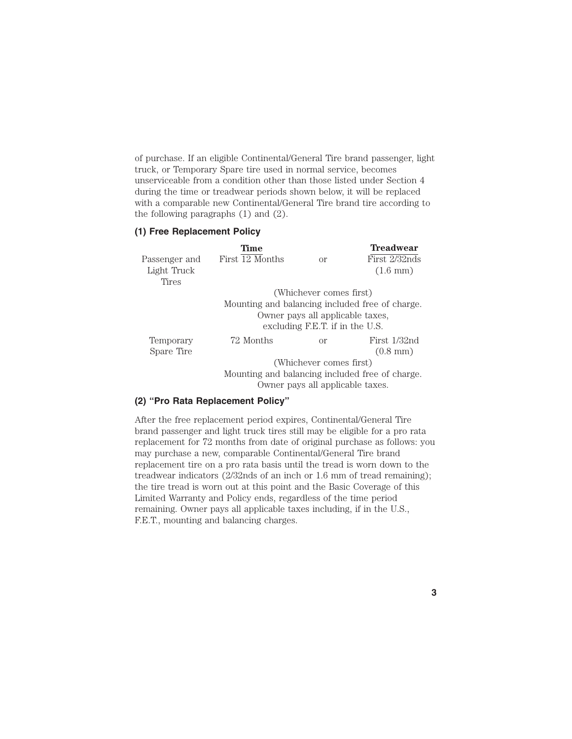of purchase. If an eligible Continental/General Tire brand passenger, light truck, or Temporary Spare tire used in normal service, becomes unserviceable from a condition other than those listed under Section 4 during the time or treadwear periods shown below, it will be replaced with a comparable new Continental/General Tire brand tire according to the following paragraphs (1) and (2).

## **(1) Free Replacement Policy**

|               | <b>Time</b>                                     |                                  | <b>Treadwear</b>   |  |
|---------------|-------------------------------------------------|----------------------------------|--------------------|--|
| Passenger and | First 12 Months                                 | $\alpha$                         | First 2/32nds      |  |
| Light Truck   |                                                 |                                  | $(1.6 \text{ mm})$ |  |
| Tires         |                                                 |                                  |                    |  |
|               |                                                 | (Whichever comes first)          |                    |  |
|               | Mounting and balancing included free of charge. |                                  |                    |  |
|               | Owner pays all applicable taxes,                |                                  |                    |  |
|               | excluding F.E.T. if in the U.S.                 |                                  |                    |  |
| Temporary     | 72 Months                                       | $\alpha$                         | First 1/32nd       |  |
| Spare Tire    |                                                 |                                  | $(0.8$ mm $)$      |  |
|               |                                                 | (Whichever comes first)          |                    |  |
|               | Mounting and balancing included free of charge. |                                  |                    |  |
|               |                                                 | Owner pays all applicable taxes. |                    |  |

#### **(2) ''Pro Rata Replacement Policy''**

After the free replacement period expires, Continental/General Tire brand passenger and light truck tires still may be eligible for a pro rata replacement for 72 months from date of original purchase as follows: you may purchase a new, comparable Continental/General Tire brand replacement tire on a pro rata basis until the tread is worn down to the treadwear indicators (2/32nds of an inch or 1.6 mm of tread remaining); the tire tread is worn out at this point and the Basic Coverage of this Limited Warranty and Policy ends, regardless of the time period remaining. Owner pays all applicable taxes including, if in the U.S., F.E.T., mounting and balancing charges.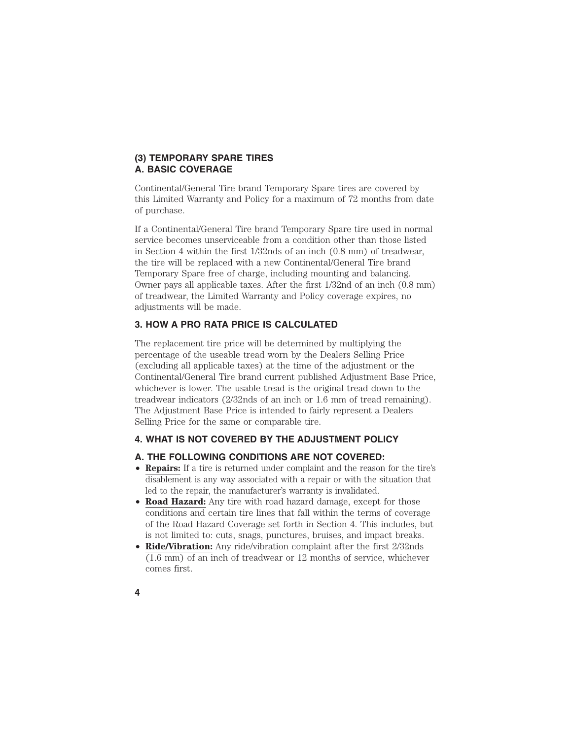## **(3) TEMPORARY SPARE TIRES A. BASIC COVERAGE**

Continental/General Tire brand Temporary Spare tires are covered by this Limited Warranty and Policy for a maximum of 72 months from date of purchase.

If a Continental/General Tire brand Temporary Spare tire used in normal service becomes unserviceable from a condition other than those listed in Section 4 within the first 1/32nds of an inch (0.8 mm) of treadwear, the tire will be replaced with a new Continental/General Tire brand Temporary Spare free of charge, including mounting and balancing. Owner pays all applicable taxes. After the first 1/32nd of an inch (0.8 mm) of treadwear, the Limited Warranty and Policy coverage expires, no adjustments will be made.

## **3. HOW A PRO RATA PRICE IS CALCULATED**

The replacement tire price will be determined by multiplying the percentage of the useable tread worn by the Dealers Selling Price (excluding all applicable taxes) at the time of the adjustment or the Continental/General Tire brand current published Adjustment Base Price, whichever is lower. The usable tread is the original tread down to the treadwear indicators (2/32nds of an inch or 1.6 mm of tread remaining). The Adjustment Base Price is intended to fairly represent a Dealers Selling Price for the same or comparable tire.

## **4. WHAT IS NOT COVERED BY THE ADJUSTMENT POLICY**

## **A. THE FOLLOWING CONDITIONS ARE NOT COVERED:**

- **Repairs:** If a tire is returned under complaint and the reason for the tire's disablement is any way associated with a repair or with the situation that led to the repair, the manufacturer's warranty is invalidated.
- **Road Hazard:** Any tire with road hazard damage, except for those conditions and certain tire lines that fall within the terms of coverage of the Road Hazard Coverage set forth in Section 4. This includes, but is not limited to: cuts, snags, punctures, bruises, and impact breaks.
- **Ride/Vibration:** Any ride/vibration complaint after the first 2/32nds (1.6 mm) of an inch of treadwear or 12 months of service, whichever comes first.
- **4**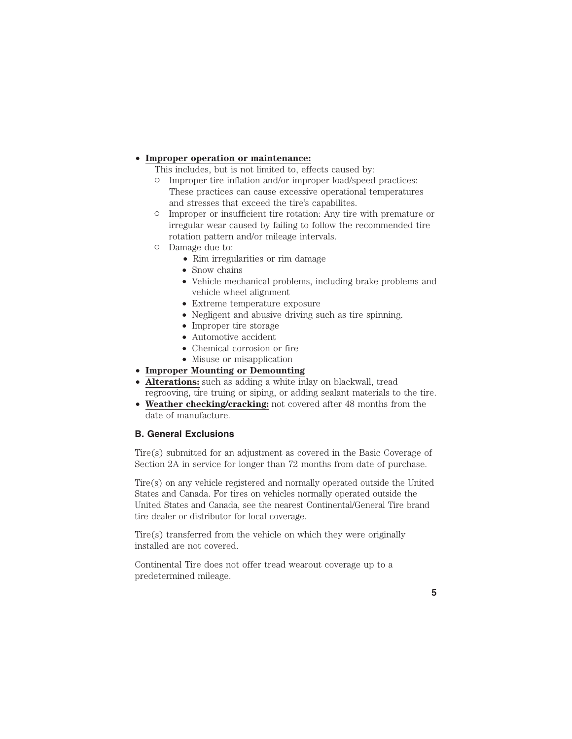## • **Improper operation or maintenance:**

This includes, but is not limited to, effects caused by:

- Improper tire inflation and/or improper load/speed practices: These practices can cause excessive operational temperatures and stresses that exceed the tire's capabilites.
- Improper or insufficient tire rotation: Any tire with premature or irregular wear caused by failing to follow the recommended tire rotation pattern and/or mileage intervals.
- Damage due to:
	- Rim irregularities or rim damage
	- Snow chains
	- Vehicle mechanical problems, including brake problems and vehicle wheel alignment
	- Extreme temperature exposure
	- Negligent and abusive driving such as tire spinning.
	- Improper tire storage
	- Automotive accident
	- Chemical corrosion or fire
	- Misuse or misapplication
- **Improper Mounting or Demounting**
- **Alterations:** such as adding a white inlay on blackwall, tread regrooving, tire truing or siping, or adding sealant materials to the tire.
- **Weather checking/cracking:** not covered after 48 months from the date of manufacture.

## **B. General Exclusions**

Tire(s) submitted for an adjustment as covered in the Basic Coverage of Section 2A in service for longer than 72 months from date of purchase.

Tire(s) on any vehicle registered and normally operated outside the United States and Canada. For tires on vehicles normally operated outside the United States and Canada, see the nearest Continental/General Tire brand tire dealer or distributor for local coverage.

Tire(s) transferred from the vehicle on which they were originally installed are not covered.

Continental Tire does not offer tread wearout coverage up to a predetermined mileage.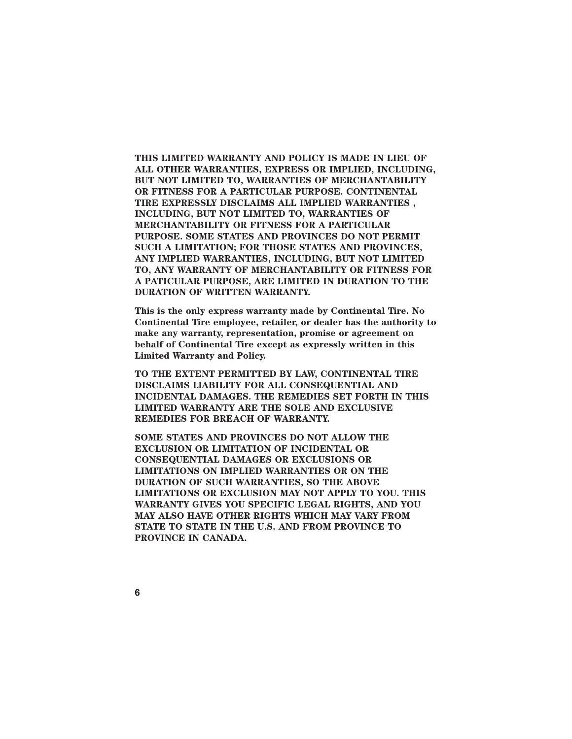**THIS LIMITED WARRANTY AND POLICY IS MADE IN LIEU OF ALL OTHER WARRANTIES, EXPRESS OR IMPLIED, INCLUDING, BUT NOT LIMITED TO, WARRANTIES OF MERCHANTABILITY OR FITNESS FOR A PARTICULAR PURPOSE. CONTINENTAL TIRE EXPRESSLY DISCLAIMS ALL IMPLIED WARRANTIES , INCLUDING, BUT NOT LIMITED TO, WARRANTIES OF MERCHANTABILITY OR FITNESS FOR A PARTICULAR PURPOSE. SOME STATES AND PROVINCES DO NOT PERMIT SUCH A LIMITATION; FOR THOSE STATES AND PROVINCES, ANY IMPLIED WARRANTIES, INCLUDING, BUT NOT LIMITED TO, ANY WARRANTY OF MERCHANTABILITY OR FITNESS FOR A PATICULAR PURPOSE, ARE LIMITED IN DURATION TO THE DURATION OF WRITTEN WARRANTY.**

**This is the only express warranty made by Continental Tire. No Continental Tire employee, retailer, or dealer has the authority to make any warranty, representation, promise or agreement on behalf of Continental Tire except as expressly written in this Limited Warranty and Policy.**

**TO THE EXTENT PERMITTED BY LAW, CONTINENTAL TIRE DISCLAIMS LlABILITY FOR ALL CONSEQUENTIAL AND INCIDENTAL DAMAGES. THE REMEDIES SET FORTH IN THIS LIMITED WARRANTY ARE THE SOLE AND EXCLUSIVE REMEDIES FOR BREACH OF WARRANTY.**

**SOME STATES AND PROVINCES DO NOT ALLOW THE EXCLUSION OR LIMITATION OF INCIDENTAL OR CONSEQUENTIAL DAMAGES OR EXCLUSIONS OR LIMITATIONS ON IMPLIED WARRANTIES OR ON THE DURATION OF SUCH WARRANTIES, SO THE ABOVE LIMITATIONS OR EXCLUSION MAY NOT APPLY TO YOU. THIS WARRANTY GIVES YOU SPECIFIC LEGAL RIGHTS, AND YOU MAY ALSO HAVE OTHER RIGHTS WHICH MAY VARY FROM STATE TO STATE IN THE U.S. AND FROM PROVINCE TO PROVINCE IN CANADA.**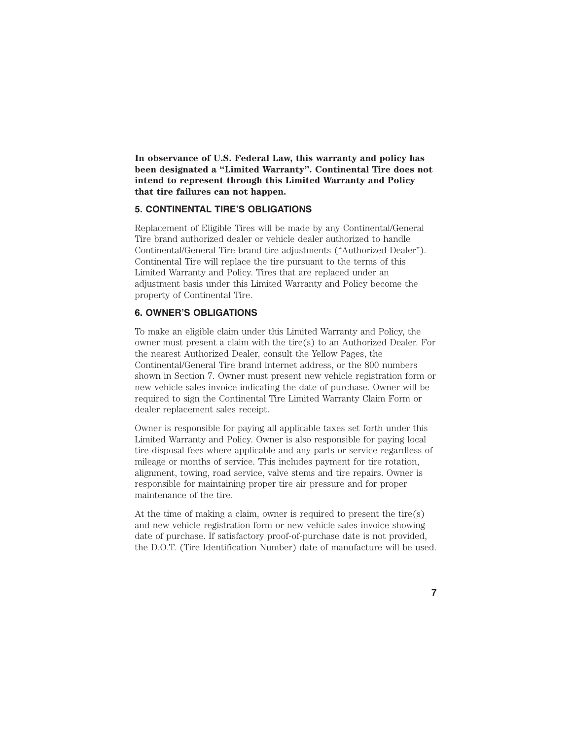**In observance of U.S. Federal Law, this warranty and policy has been designated a "Limited Warranty". Continental Tire does not intend to represent through this Limited Warranty and Policy that tire failures can not happen.**

## **5. CONTINENTAL TIRE'S OBLIGATIONS**

Replacement of Eligible Tires will be made by any Continental/General Tire brand authorized dealer or vehicle dealer authorized to handle Continental/General Tire brand tire adjustments ("Authorized Dealer"). Continental Tire will replace the tire pursuant to the terms of this Limited Warranty and Policy. Tires that are replaced under an adjustment basis under this Limited Warranty and Policy become the property of Continental Tire.

#### **6. OWNER'S OBLIGATIONS**

To make an eligible claim under this Limited Warranty and Policy, the owner must present a claim with the tire(s) to an Authorized Dealer. For the nearest Authorized Dealer, consult the Yellow Pages, the Continental/General Tire brand internet address, or the 800 numbers shown in Section 7. Owner must present new vehicle registration form or new vehicle sales invoice indicating the date of purchase. Owner will be required to sign the Continental Tire Limited Warranty Claim Form or dealer replacement sales receipt.

Owner is responsible for paying all applicable taxes set forth under this Limited Warranty and Policy. Owner is also responsible for paying local tire-disposal fees where applicable and any parts or service regardless of mileage or months of service. This includes payment for tire rotation, alignment, towing, road service, valve stems and tire repairs. Owner is responsible for maintaining proper tire air pressure and for proper maintenance of the tire.

At the time of making a claim, owner is required to present the tire(s) and new vehicle registration form or new vehicle sales invoice showing date of purchase. If satisfactory proof-of-purchase date is not provided, the D.O.T. (Tire Identification Number) date of manufacture will be used.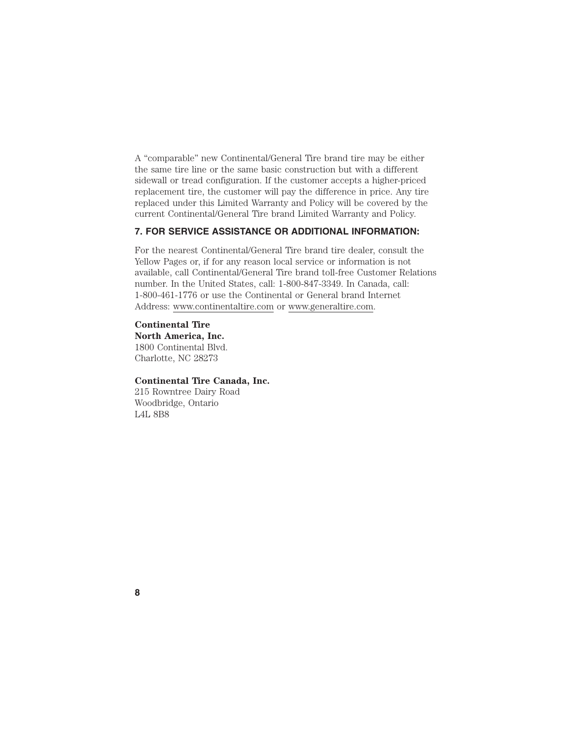A "comparable" new Continental/General Tire brand tire may be either the same tire line or the same basic construction but with a different sidewall or tread configuration. If the customer accepts a higher-priced replacement tire, the customer will pay the difference in price. Any tire replaced under this Limited Warranty and Policy will be covered by the current Continental/General Tire brand Limited Warranty and Policy.

## **7. FOR SERVICE ASSISTANCE OR ADDITIONAL INFORMATION:**

For the nearest Continental/General Tire brand tire dealer, consult the Yellow Pages or, if for any reason local service or information is not available, call Continental/General Tire brand toll-free Customer Relations number. In the United States, call: 1-800-847-3349. In Canada, call: 1-800-461-1776 or use the Continental or General brand Internet Address: www.continentaltire.com or www.generaltire.com.

**Continental Tire North America, Inc.** 1800 Continental Blvd. Charlotte, NC 28273

#### **Continental Tire Canada, Inc.**

215 Rowntree Dairy Road Woodbridge, Ontario L4L 8B8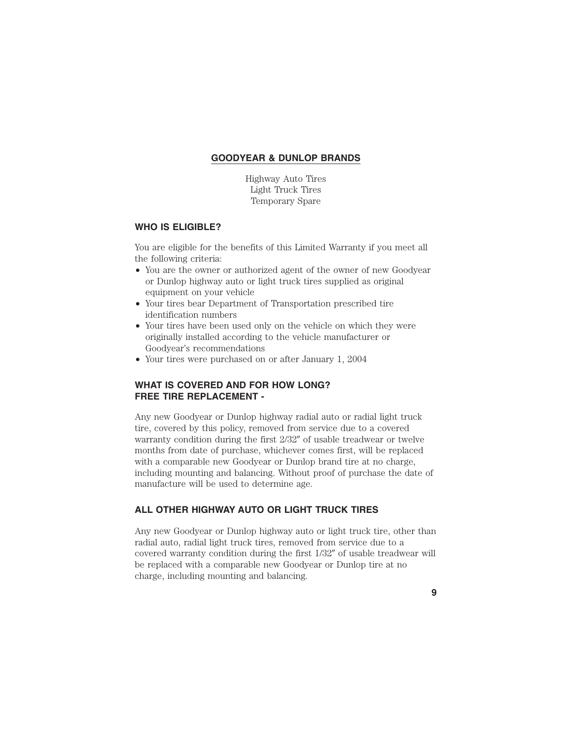## **GOODYEAR & DUNLOP BRANDS**

Highway Auto Tires Light Truck Tires Temporary Spare

## **WHO IS ELIGIBLE?**

You are eligible for the benefits of this Limited Warranty if you meet all the following criteria:

- You are the owner or authorized agent of the owner of new Goodyear or Dunlop highway auto or light truck tires supplied as original equipment on your vehicle
- Your tires bear Department of Transportation prescribed tire identification numbers
- Your tires have been used only on the vehicle on which they were originally installed according to the vehicle manufacturer or Goodyear's recommendations
- Your tires were purchased on or after January 1, 2004

## **WHAT IS COVERED AND FOR HOW LONG? FREE TIRE REPLACEMENT -**

Any new Goodyear or Dunlop highway radial auto or radial light truck tire, covered by this policy, removed from service due to a covered warranty condition during the first  $2/32''$  of usable treadwear or twelve months from date of purchase, whichever comes first, will be replaced with a comparable new Goodyear or Dunlop brand tire at no charge, including mounting and balancing. Without proof of purchase the date of manufacture will be used to determine age.

## **ALL OTHER HIGHWAY AUTO OR LIGHT TRUCK TIRES**

Any new Goodyear or Dunlop highway auto or light truck tire, other than radial auto, radial light truck tires, removed from service due to a covered warranty condition during the first  $1/32''$  of usable treadwear will be replaced with a comparable new Goodyear or Dunlop tire at no charge, including mounting and balancing.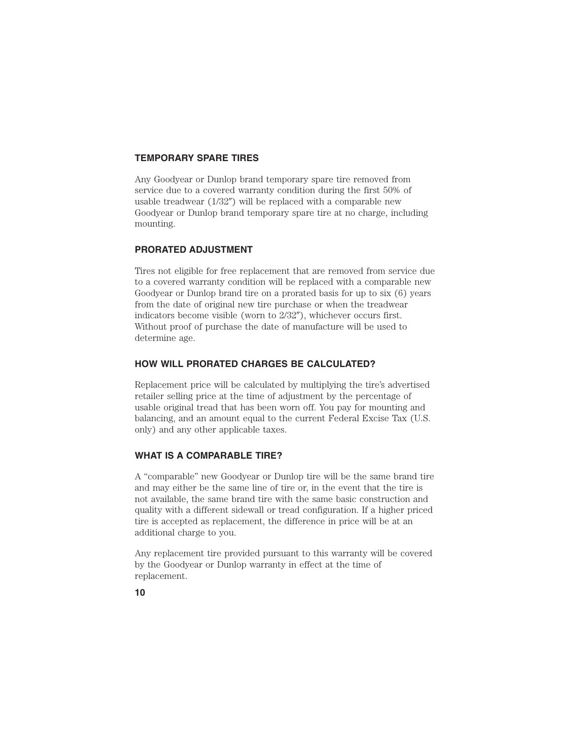## **TEMPORARY SPARE TIRES**

Any Goodyear or Dunlop brand temporary spare tire removed from service due to a covered warranty condition during the first 50% of usable treadwear  $(1/32'')$  will be replaced with a comparable new Goodyear or Dunlop brand temporary spare tire at no charge, including mounting.

## **PRORATED ADJUSTMENT**

Tires not eligible for free replacement that are removed from service due to a covered warranty condition will be replaced with a comparable new Goodyear or Dunlop brand tire on a prorated basis for up to six (6) years from the date of original new tire purchase or when the treadwear indicators become visible (worn to  $2/32$ "), whichever occurs first. Without proof of purchase the date of manufacture will be used to determine age.

## **HOW WILL PRORATED CHARGES BE CALCULATED?**

Replacement price will be calculated by multiplying the tire's advertised retailer selling price at the time of adjustment by the percentage of usable original tread that has been worn off. You pay for mounting and balancing, and an amount equal to the current Federal Excise Tax (U.S. only) and any other applicable taxes.

#### **WHAT IS A COMPARABLE TIRE?**

A "comparable" new Goodyear or Dunlop tire will be the same brand tire and may either be the same line of tire or, in the event that the tire is not available, the same brand tire with the same basic construction and quality with a different sidewall or tread configuration. If a higher priced tire is accepted as replacement, the difference in price will be at an additional charge to you.

Any replacement tire provided pursuant to this warranty will be covered by the Goodyear or Dunlop warranty in effect at the time of replacement.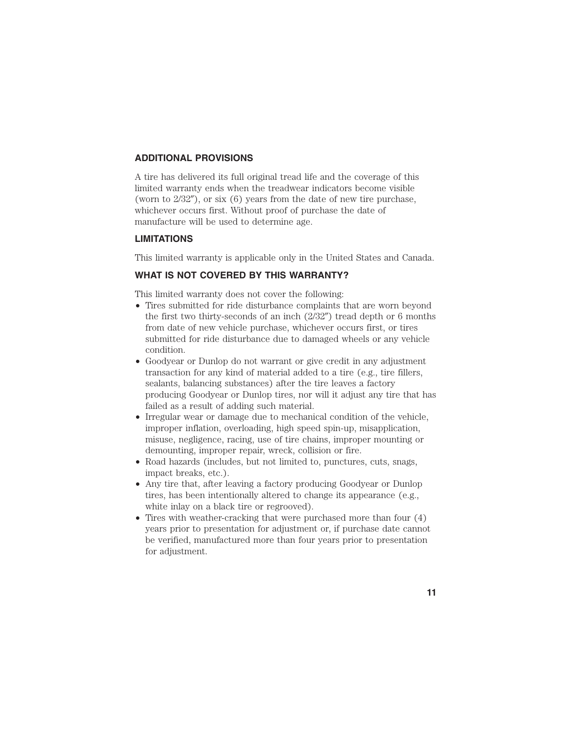## **ADDITIONAL PROVISIONS**

A tire has delivered its full original tread life and the coverage of this limited warranty ends when the treadwear indicators become visible (worn to  $2/32$ "), or six (6) years from the date of new tire purchase, whichever occurs first. Without proof of purchase the date of manufacture will be used to determine age.

#### **LIMITATIONS**

This limited warranty is applicable only in the United States and Canada.

## **WHAT IS NOT COVERED BY THIS WARRANTY?**

This limited warranty does not cover the following:

- Tires submitted for ride disturbance complaints that are worn beyond the first two thirty-seconds of an inch  $(2/32'')$  tread depth or 6 months from date of new vehicle purchase, whichever occurs first, or tires submitted for ride disturbance due to damaged wheels or any vehicle condition.
- Goodyear or Dunlop do not warrant or give credit in any adjustment transaction for any kind of material added to a tire (e.g., tire fillers, sealants, balancing substances) after the tire leaves a factory producing Goodyear or Dunlop tires, nor will it adjust any tire that has failed as a result of adding such material.
- Irregular wear or damage due to mechanical condition of the vehicle, improper inflation, overloading, high speed spin-up, misapplication, misuse, negligence, racing, use of tire chains, improper mounting or demounting, improper repair, wreck, collision or fire.
- Road hazards (includes, but not limited to, punctures, cuts, snags, impact breaks, etc.).
- Any tire that, after leaving a factory producing Goodyear or Dunlop tires, has been intentionally altered to change its appearance (e.g., white inlay on a black tire or regrooved).
- Tires with weather-cracking that were purchased more than four  $(4)$ years prior to presentation for adjustment or, if purchase date cannot be verified, manufactured more than four years prior to presentation for adjustment.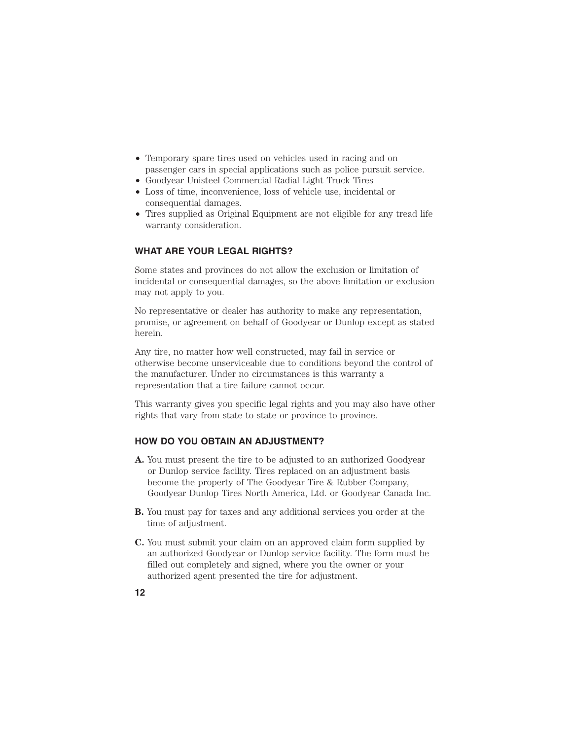- Temporary spare tires used on vehicles used in racing and on passenger cars in special applications such as police pursuit service.
- Goodyear Unisteel Commercial Radial Light Truck Tires
- Loss of time, inconvenience, loss of vehicle use, incidental or consequential damages.
- Tires supplied as Original Equipment are not eligible for any tread life warranty consideration.

## **WHAT ARE YOUR LEGAL RIGHTS?**

Some states and provinces do not allow the exclusion or limitation of incidental or consequential damages, so the above limitation or exclusion may not apply to you.

No representative or dealer has authority to make any representation, promise, or agreement on behalf of Goodyear or Dunlop except as stated herein.

Any tire, no matter how well constructed, may fail in service or otherwise become unserviceable due to conditions beyond the control of the manufacturer. Under no circumstances is this warranty a representation that a tire failure cannot occur.

This warranty gives you specific legal rights and you may also have other rights that vary from state to state or province to province.

## **HOW DO YOU OBTAIN AN ADJUSTMENT?**

- **A.** You must present the tire to be adjusted to an authorized Goodyear or Dunlop service facility. Tires replaced on an adjustment basis become the property of The Goodyear Tire & Rubber Company, Goodyear Dunlop Tires North America, Ltd. or Goodyear Canada Inc.
- **B.** You must pay for taxes and any additional services you order at the time of adjustment.
- **C.** You must submit your claim on an approved claim form supplied by an authorized Goodyear or Dunlop service facility. The form must be filled out completely and signed, where you the owner or your authorized agent presented the tire for adjustment.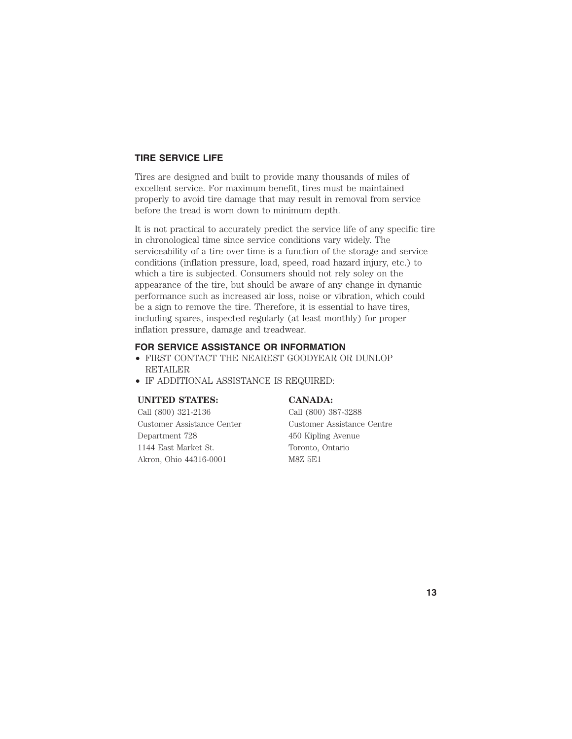## **TIRE SERVICE LIFE**

Tires are designed and built to provide many thousands of miles of excellent service. For maximum benefit, tires must be maintained properly to avoid tire damage that may result in removal from service before the tread is worn down to minimum depth.

It is not practical to accurately predict the service life of any specific tire in chronological time since service conditions vary widely. The serviceability of a tire over time is a function of the storage and service conditions (inflation pressure, load, speed, road hazard injury, etc.) to which a tire is subjected. Consumers should not rely soley on the appearance of the tire, but should be aware of any change in dynamic performance such as increased air loss, noise or vibration, which could be a sign to remove the tire. Therefore, it is essential to have tires, including spares, inspected regularly (at least monthly) for proper inflation pressure, damage and treadwear.

#### **FOR SERVICE ASSISTANCE OR INFORMATION**

- FIRST CONTACT THE NEAREST GOODYEAR OR DUNLOP RETAILER
- IF ADDITIONAL ASSISTANCE IS REQUIRED:

#### **UNITED STATES: CANADA:**

Call (800) 321-2136 Call (800) 387-3288 Department 728 450 Kipling Avenue 1144 East Market St. Toronto, Ontario Akron, Ohio 44316-0001 M8Z 5E1

Customer Assistance Center Customer Assistance Centre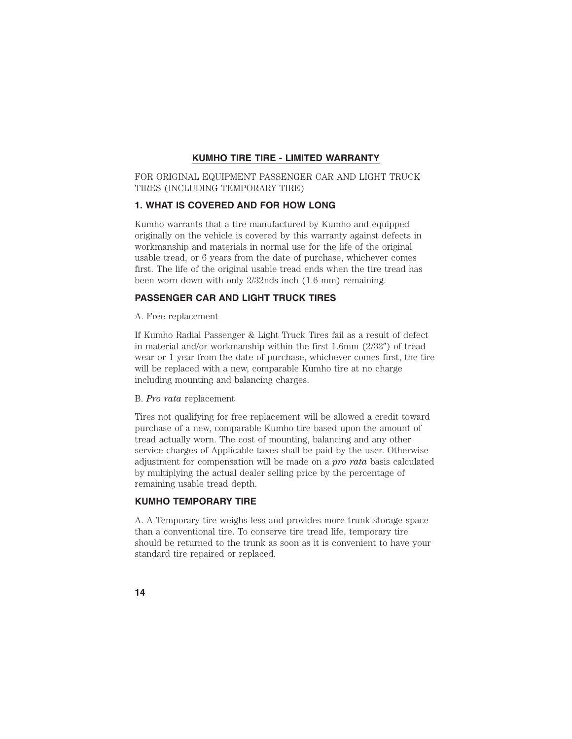## **KUMHO TIRE TIRE - LIMITED WARRANTY**

FOR ORIGINAL EQUIPMENT PASSENGER CAR AND LIGHT TRUCK TIRES (INCLUDING TEMPORARY TIRE)

## **1. WHAT IS COVERED AND FOR HOW LONG**

Kumho warrants that a tire manufactured by Kumho and equipped originally on the vehicle is covered by this warranty against defects in workmanship and materials in normal use for the life of the original usable tread, or 6 years from the date of purchase, whichever comes first. The life of the original usable tread ends when the tire tread has been worn down with only 2/32nds inch (1.6 mm) remaining.

## **PASSENGER CAR AND LIGHT TRUCK TIRES**

A. Free replacement

If Kumho Radial Passenger & Light Truck Tires fail as a result of defect in material and/or workmanship within the first 1.6mm  $(2/32'')$  of tread wear or 1 year from the date of purchase, whichever comes first, the tire will be replaced with a new, comparable Kumho tire at no charge including mounting and balancing charges.

#### B. *Pro rata* replacement

Tires not qualifying for free replacement will be allowed a credit toward purchase of a new, comparable Kumho tire based upon the amount of tread actually worn. The cost of mounting, balancing and any other service charges of Applicable taxes shall be paid by the user. Otherwise adjustment for compensation will be made on a *pro rata* basis calculated by multiplying the actual dealer selling price by the percentage of remaining usable tread depth.

#### **KUMHO TEMPORARY TIRE**

A. A Temporary tire weighs less and provides more trunk storage space than a conventional tire. To conserve tire tread life, temporary tire should be returned to the trunk as soon as it is convenient to have your standard tire repaired or replaced.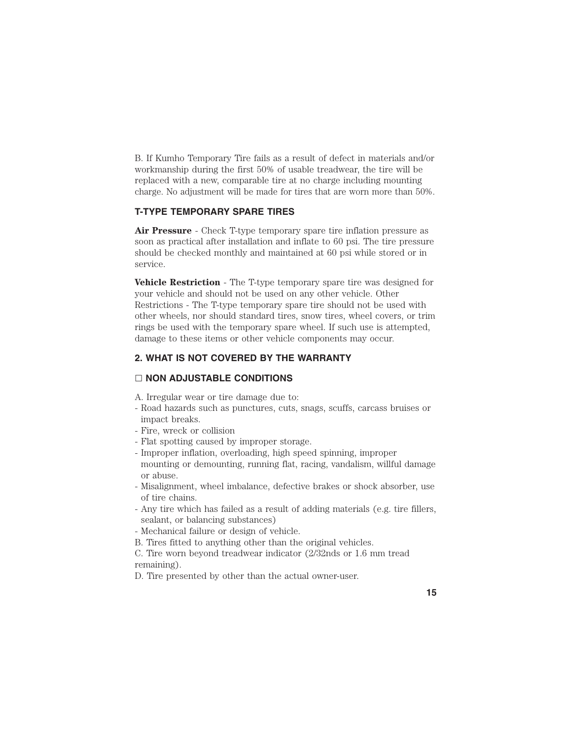B. If Kumho Temporary Tire fails as a result of defect in materials and/or workmanship during the first 50% of usable treadwear, the tire will be replaced with a new, comparable tire at no charge including mounting charge. No adjustment will be made for tires that are worn more than 50%.

## **T-TYPE TEMPORARY SPARE TIRES**

**Air Pressure** - Check T-type temporary spare tire inflation pressure as soon as practical after installation and inflate to 60 psi. The tire pressure should be checked monthly and maintained at 60 psi while stored or in service.

**Vehicle Restriction** - The T-type temporary spare tire was designed for your vehicle and should not be used on any other vehicle. Other Restrictions - The T-type temporary spare tire should not be used with other wheels, nor should standard tires, snow tires, wheel covers, or trim rings be used with the temporary spare wheel. If such use is attempted, damage to these items or other vehicle components may occur.

## **2. WHAT IS NOT COVERED BY THE WARRANTY**

#### **NON ADJUSTABLE CONDITIONS**

- A. Irregular wear or tire damage due to:
- Road hazards such as punctures, cuts, snags, scuffs, carcass bruises or impact breaks.
- Fire, wreck or collision
- Flat spotting caused by improper storage.
- Improper inflation, overloading, high speed spinning, improper mounting or demounting, running flat, racing, vandalism, willful damage or abuse.
- Misalignment, wheel imbalance, defective brakes or shock absorber, use of tire chains.
- Any tire which has failed as a result of adding materials (e.g. tire fillers, sealant, or balancing substances)
- Mechanical failure or design of vehicle.
- B. Tires fitted to anything other than the original vehicles.
- C. Tire worn beyond treadwear indicator (2/32nds or 1.6 mm tread remaining).

D. Tire presented by other than the actual owner-user.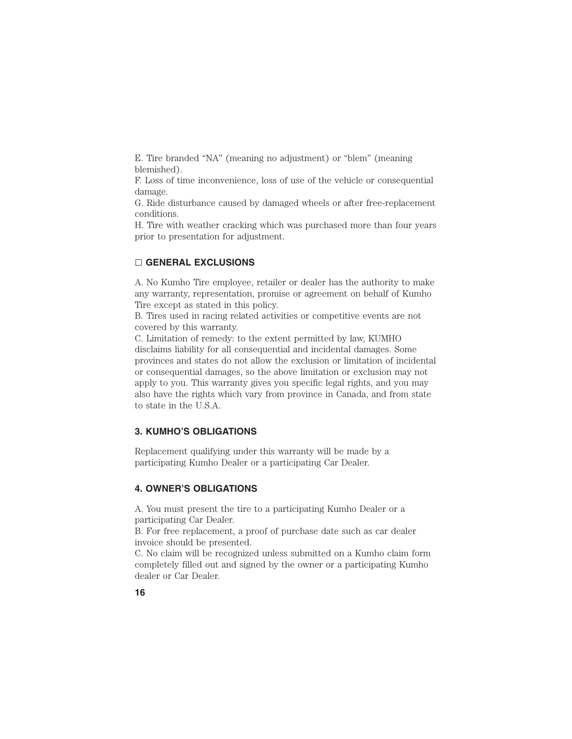E. Tire branded "NA" (meaning no adjustment) or "blem" (meaning blemished).

F. Loss of time inconvenience, loss of use of the vehicle or consequential damage.

G. Ride disturbance caused by damaged wheels or after free-replacement conditions.

H. Tire with weather cracking which was purchased more than four years prior to presentation for adjustment.

## **GENERAL EXCLUSIONS**

A. No Kumho Tire employee, retailer or dealer has the authority to make any warranty, representation, promise or agreement on behalf of Kumho Tire except as stated in this policy.

B. Tires used in racing related activities or competitive events are not covered by this warranty.

C. Limitation of remedy: to the extent permitted by law, KUMHO disclaims liability for all consequential and incidental damages. Some provinces and states do not allow the exclusion or limitation of incidental or consequential damages, so the above limitation or exclusion may not apply to you. This warranty gives you specific legal rights, and you may also have the rights which vary from province in Canada, and from state to state in the U.S.A.

## **3. KUMHO'S OBLIGATIONS**

Replacement qualifying under this warranty will be made by a participating Kumho Dealer or a participating Car Dealer.

## **4. OWNER'S OBLIGATIONS**

A. You must present the tire to a participating Kumho Dealer or a participating Car Dealer.

B. For free replacement, a proof of purchase date such as car dealer invoice should be presented.

C. No claim will be recognized unless submitted on a Kumho claim form completely filled out and signed by the owner or a participating Kumho dealer or Car Dealer.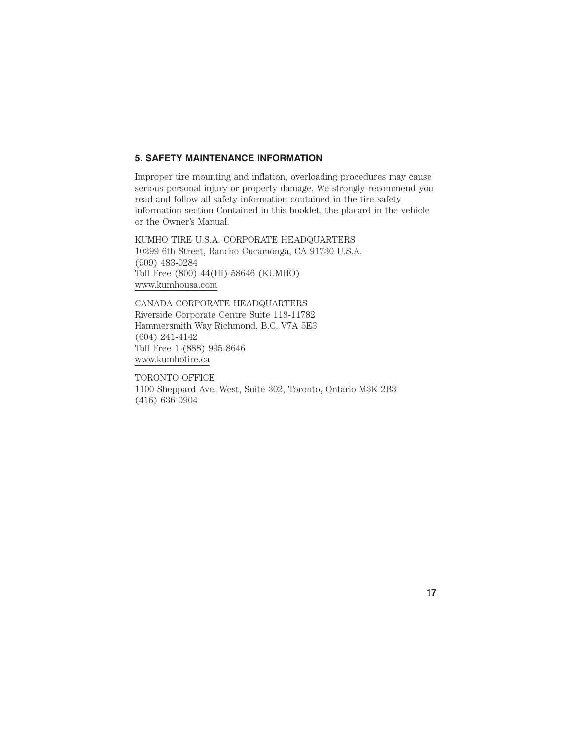#### **5. SAFETY MAINTENANCE INFORMATION**

Improper tire mounting and inflation, overloading procedures may cause serious personal injury or property damage. We strongly recommend you read and follow all safety information contained in the tire safety information section Contained in this booklet, the placard in the vehicle or the Owner's Manual.

KUMHO TIRE U.S.A. CORPORATE HEADQUARTERS 10299 6th Street, Rancho Cucamonga, CA 91730 U.S.A. (909) 483-0284 Toll Free (800) 44(HI)-58646 (KUMHO) www.kumhousa.com

CANADA CORPORATE HEADQUARTERS Riverside Corporate Centre Suite 118-11782 Hammersmith Way Richmond, B.C. V7A 5E3 (604) 241-4142 Toll Free 1-(888) 995-8646 www.kumhotire.ca

TORONTO OFFICE 1100 Sheppard Ave. West, Suite 302, Toronto, Ontario M3K 2B3 (416) 636-0904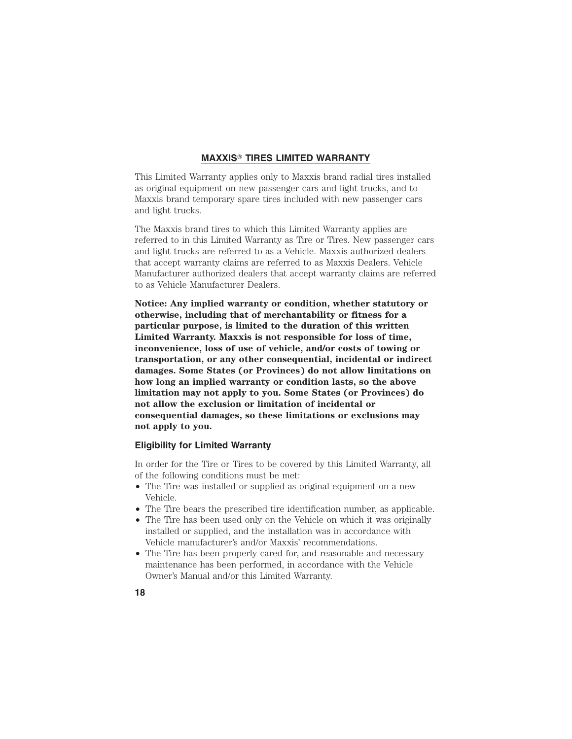## **MAXXIS TIRES LIMITED WARRANTY**

This Limited Warranty applies only to Maxxis brand radial tires installed as original equipment on new passenger cars and light trucks, and to Maxxis brand temporary spare tires included with new passenger cars and light trucks.

The Maxxis brand tires to which this Limited Warranty applies are referred to in this Limited Warranty as Tire or Tires. New passenger cars and light trucks are referred to as a Vehicle. Maxxis-authorized dealers that accept warranty claims are referred to as Maxxis Dealers. Vehicle Manufacturer authorized dealers that accept warranty claims are referred to as Vehicle Manufacturer Dealers.

**Notice: Any implied warranty or condition, whether statutory or otherwise, including that of merchantability or fitness for a particular purpose, is limited to the duration of this written Limited Warranty. Maxxis is not responsible for loss of time, inconvenience, loss of use of vehicle, and/or costs of towing or transportation, or any other consequential, incidental or indirect damages. Some States (or Provinces) do not allow limitations on how long an implied warranty or condition lasts, so the above limitation may not apply to you. Some States (or Provinces) do not allow the exclusion or limitation of incidental or consequential damages, so these limitations or exclusions may not apply to you.**

## **Eligibility for Limited Warranty**

In order for the Tire or Tires to be covered by this Limited Warranty, all of the following conditions must be met:

- The Tire was installed or supplied as original equipment on a new Vehicle.
- The Tire bears the prescribed tire identification number, as applicable.
- The Tire has been used only on the Vehicle on which it was originally installed or supplied, and the installation was in accordance with Vehicle manufacturer's and/or Maxxis' recommendations.
- The Tire has been properly cared for, and reasonable and necessary maintenance has been performed, in accordance with the Vehicle Owner's Manual and/or this Limited Warranty.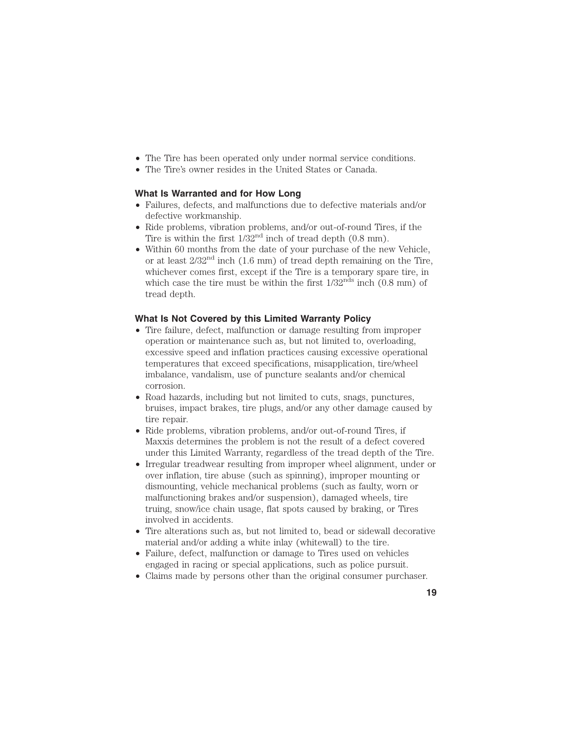- The Tire has been operated only under normal service conditions.
- The Tire's owner resides in the United States or Canada.

#### **What Is Warranted and for How Long**

- Failures, defects, and malfunctions due to defective materials and/or defective workmanship.
- Ride problems, vibration problems, and/or out-of-round Tires, if the Tire is within the first  $1/32<sup>nd</sup>$  inch of tread depth  $(0.8 \text{ mm})$ .
- Within 60 months from the date of your purchase of the new Vehicle, or at least  $2/32<sup>nd</sup>$  inch  $(1.6 \text{ mm})$  of tread depth remaining on the Tire, whichever comes first, except if the Tire is a temporary spare tire, in which case the tire must be within the first  $1/32^{nds}$  inch  $(0.8 \text{ mm})$  of tread depth.

### **What Is Not Covered by this Limited Warranty Policy**

- Tire failure, defect, malfunction or damage resulting from improper operation or maintenance such as, but not limited to, overloading, excessive speed and inflation practices causing excessive operational temperatures that exceed specifications, misapplication, tire/wheel imbalance, vandalism, use of puncture sealants and/or chemical corrosion.
- Road hazards, including but not limited to cuts, snags, punctures, bruises, impact brakes, tire plugs, and/or any other damage caused by tire repair.
- Ride problems, vibration problems, and/or out-of-round Tires, if Maxxis determines the problem is not the result of a defect covered under this Limited Warranty, regardless of the tread depth of the Tire.
- Irregular treadwear resulting from improper wheel alignment, under or over inflation, tire abuse (such as spinning), improper mounting or dismounting, vehicle mechanical problems (such as faulty, worn or malfunctioning brakes and/or suspension), damaged wheels, tire truing, snow/ice chain usage, flat spots caused by braking, or Tires involved in accidents.
- Tire alterations such as, but not limited to, bead or sidewall decorative material and/or adding a white inlay (whitewall) to the tire.
- Failure, defect, malfunction or damage to Tires used on vehicles engaged in racing or special applications, such as police pursuit.
- Claims made by persons other than the original consumer purchaser.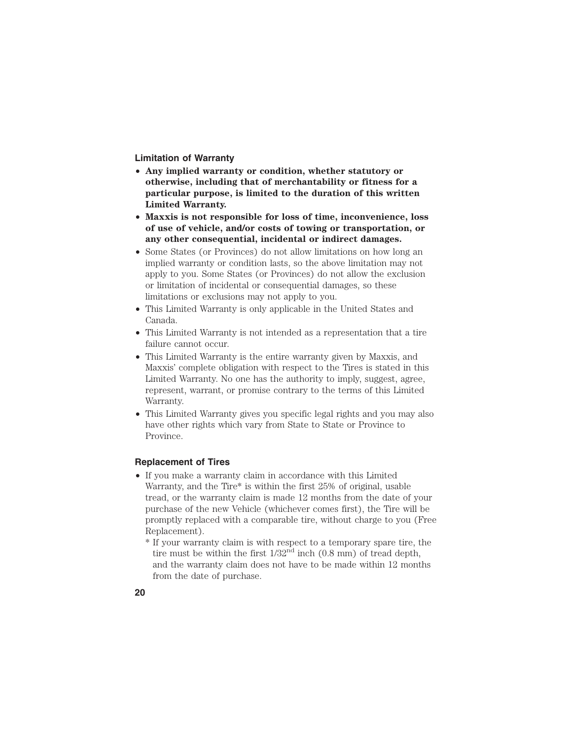**Limitation of Warranty**

- **Any implied warranty or condition, whether statutory or otherwise, including that of merchantability or fitness for a particular purpose, is limited to the duration of this written Limited Warranty.**
- **Maxxis is not responsible for loss of time, inconvenience, loss of use of vehicle, and/or costs of towing or transportation, or any other consequential, incidental or indirect damages.**
- Some States (or Provinces) do not allow limitations on how long an implied warranty or condition lasts, so the above limitation may not apply to you. Some States (or Provinces) do not allow the exclusion or limitation of incidental or consequential damages, so these limitations or exclusions may not apply to you.
- This Limited Warranty is only applicable in the United States and Canada.
- This Limited Warranty is not intended as a representation that a tire failure cannot occur.
- This Limited Warranty is the entire warranty given by Maxxis, and Maxxis' complete obligation with respect to the Tires is stated in this Limited Warranty. No one has the authority to imply, suggest, agree, represent, warrant, or promise contrary to the terms of this Limited Warranty.
- This Limited Warranty gives you specific legal rights and you may also have other rights which vary from State to State or Province to Province.

#### **Replacement of Tires**

• If you make a warranty claim in accordance with this Limited Warranty, and the Tire\* is within the first 25% of original, usable tread, or the warranty claim is made 12 months from the date of your purchase of the new Vehicle (whichever comes first), the Tire will be promptly replaced with a comparable tire, without charge to you (Free Replacement).

\* If your warranty claim is with respect to a temporary spare tire, the tire must be within the first  $1/32<sup>nd</sup>$  inch  $(0.8$  mm) of tread depth, and the warranty claim does not have to be made within 12 months from the date of purchase.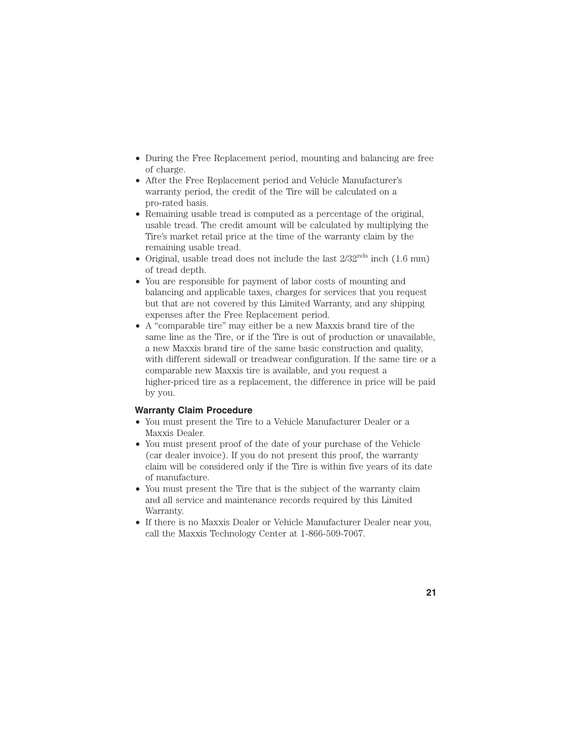- During the Free Replacement period, mounting and balancing are free of charge.
- After the Free Replacement period and Vehicle Manufacturer's warranty period, the credit of the Tire will be calculated on a pro-rated basis.
- Remaining usable tread is computed as a percentage of the original, usable tread. The credit amount will be calculated by multiplying the Tire's market retail price at the time of the warranty claim by the remaining usable tread.
- Original, usable tread does not include the last  $2/32^{nds}$  inch  $(1.6 \text{ mm})$ of tread depth.
- You are responsible for payment of labor costs of mounting and balancing and applicable taxes, charges for services that you request but that are not covered by this Limited Warranty, and any shipping expenses after the Free Replacement period.
- A "comparable tire" may either be a new Maxxis brand tire of the same line as the Tire, or if the Tire is out of production or unavailable, a new Maxxis brand tire of the same basic construction and quality, with different sidewall or treadwear configuration. If the same tire or a comparable new Maxxis tire is available, and you request a higher-priced tire as a replacement, the difference in price will be paid by you.

## **Warranty Claim Procedure**

- You must present the Tire to a Vehicle Manufacturer Dealer or a Maxxis Dealer.
- You must present proof of the date of your purchase of the Vehicle (car dealer invoice). If you do not present this proof, the warranty claim will be considered only if the Tire is within five years of its date of manufacture.
- You must present the Tire that is the subject of the warranty claim and all service and maintenance records required by this Limited Warranty.
- If there is no Maxxis Dealer or Vehicle Manufacturer Dealer near you, call the Maxxis Technology Center at 1-866-509-7067.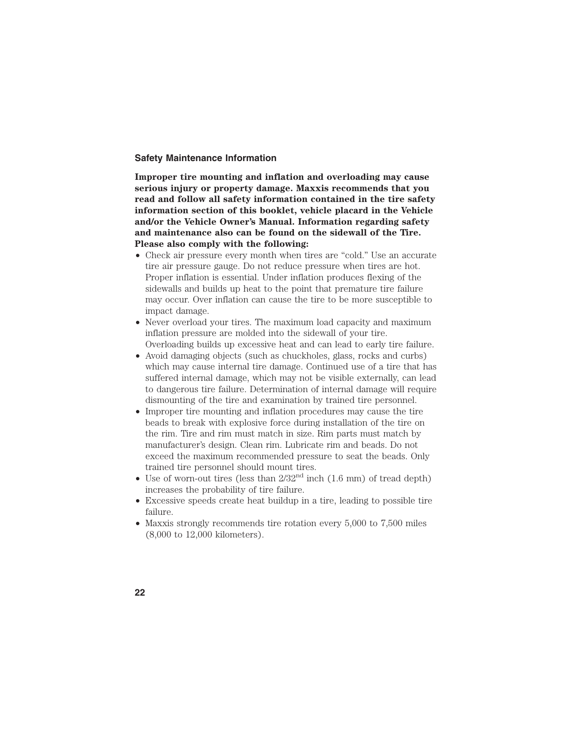#### **Safety Maintenance Information**

**Improper tire mounting and inflation and overloading may cause serious injury or property damage. Maxxis recommends that you read and follow all safety information contained in the tire safety information section of this booklet, vehicle placard in the Vehicle and/or the Vehicle Owner's Manual. Information regarding safety and maintenance also can be found on the sidewall of the Tire. Please also comply with the following:**

- Check air pressure every month when tires are "cold." Use an accurate tire air pressure gauge. Do not reduce pressure when tires are hot. Proper inflation is essential. Under inflation produces flexing of the sidewalls and builds up heat to the point that premature tire failure may occur. Over inflation can cause the tire to be more susceptible to impact damage.
- Never overload your tires. The maximum load capacity and maximum inflation pressure are molded into the sidewall of your tire. Overloading builds up excessive heat and can lead to early tire failure.
- Avoid damaging objects (such as chuckholes, glass, rocks and curbs) which may cause internal tire damage. Continued use of a tire that has suffered internal damage, which may not be visible externally, can lead to dangerous tire failure. Determination of internal damage will require dismounting of the tire and examination by trained tire personnel.
- Improper tire mounting and inflation procedures may cause the tire beads to break with explosive force during installation of the tire on the rim. Tire and rim must match in size. Rim parts must match by manufacturer's design. Clean rim. Lubricate rim and beads. Do not exceed the maximum recommended pressure to seat the beads. Only trained tire personnel should mount tires.
- Use of worn-out tires (less than  $2/32<sup>nd</sup>$  inch (1.6 mm) of tread depth) increases the probability of tire failure.
- Excessive speeds create heat buildup in a tire, leading to possible tire failure.
- Maxxis strongly recommends tire rotation every 5,000 to 7,500 miles (8,000 to 12,000 kilometers).
- **22**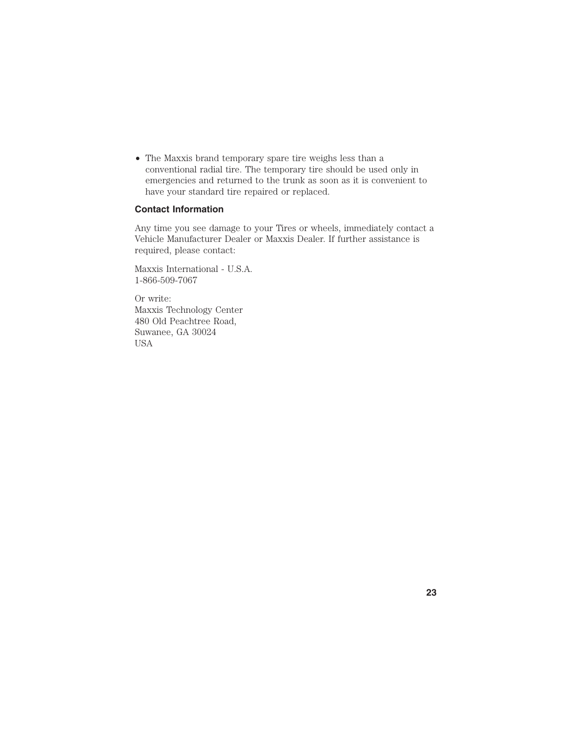• The Maxxis brand temporary spare tire weighs less than a conventional radial tire. The temporary tire should be used only in emergencies and returned to the trunk as soon as it is convenient to have your standard tire repaired or replaced.

## **Contact Information**

Any time you see damage to your Tires or wheels, immediately contact a Vehicle Manufacturer Dealer or Maxxis Dealer. If further assistance is required, please contact:

Maxxis International - U.S.A. 1-866-509-7067

Or write: Maxxis Technology Center 480 Old Peachtree Road, Suwanee, GA 30024 USA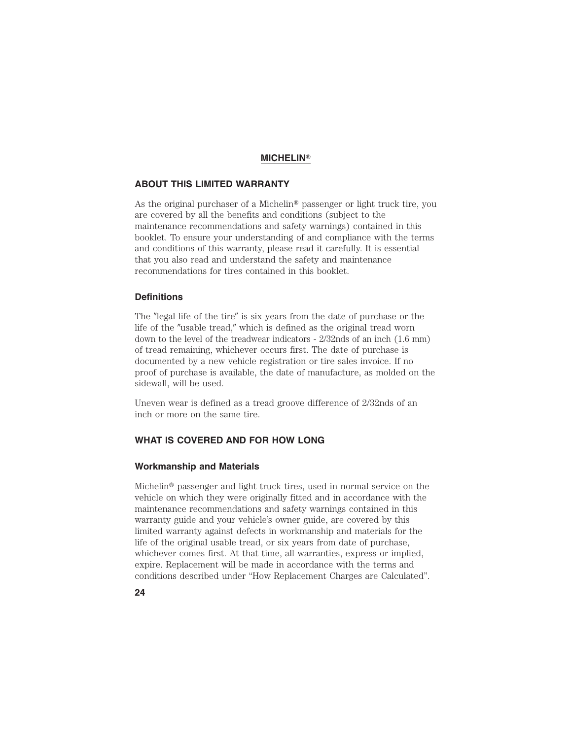## **MICHELIN**

## **ABOUT THIS LIMITED WARRANTY**

As the original purchaser of a Michelin<sup>®</sup> passenger or light truck tire, you are covered by all the benefits and conditions (subject to the maintenance recommendations and safety warnings) contained in this booklet. To ensure your understanding of and compliance with the terms and conditions of this warranty, please read it carefully. It is essential that you also read and understand the safety and maintenance recommendations for tires contained in this booklet.

#### **Definitions**

The "legal life of the tire" is six years from the date of purchase or the life of the "usable tread," which is defined as the original tread worn down to the level of the treadwear indicators - 2/32nds of an inch (1.6 mm) of tread remaining, whichever occurs first. The date of purchase is documented by a new vehicle registration or tire sales invoice. If no proof of purchase is available, the date of manufacture, as molded on the sidewall, will be used.

Uneven wear is defined as a tread groove difference of 2/32nds of an inch or more on the same tire.

## **WHAT IS COVERED AND FOR HOW LONG**

#### **Workmanship and Materials**

Michelin® passenger and light truck tires, used in normal service on the vehicle on which they were originally fitted and in accordance with the maintenance recommendations and safety warnings contained in this warranty guide and your vehicle's owner guide, are covered by this limited warranty against defects in workmanship and materials for the life of the original usable tread, or six years from date of purchase, whichever comes first. At that time, all warranties, express or implied, expire. Replacement will be made in accordance with the terms and conditions described under "How Replacement Charges are Calculated".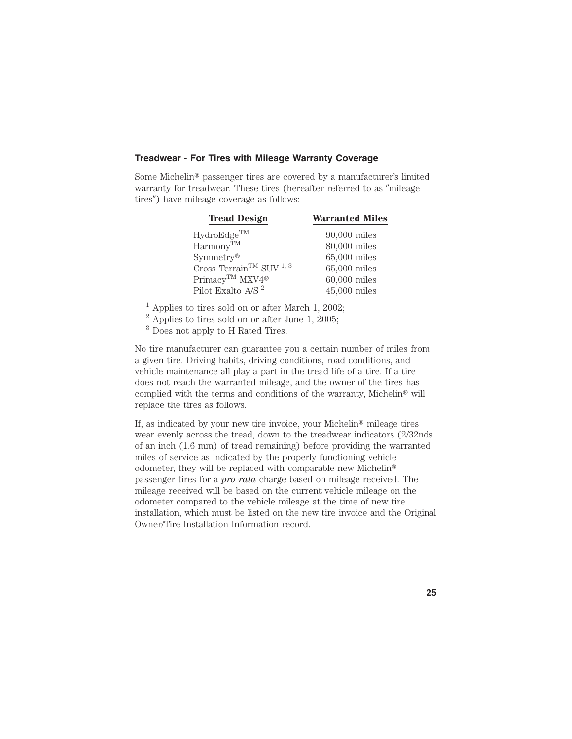#### **Treadwear - For Tires with Mileage Warranty Coverage**

Some Michelin<sup>®</sup> passenger tires are covered by a manufacturer's limited warranty for treadwear. These tires (hereafter referred to as "mileage tires") have mileage coverage as follows:

| <b>Tread Design</b>                      | <b>Warranted Miles</b> |  |  |
|------------------------------------------|------------------------|--|--|
| HydroEdge <sup>TM</sup>                  | $90,000$ miles         |  |  |
| $Harmony^{TM}$                           | 80,000 miles           |  |  |
| $Symmetry^{\circledR}$                   | 65,000 miles           |  |  |
| Cross Terrain $^{\rm TM}$ SUV $^{1,\,3}$ | 65,000 miles           |  |  |
| Primacy™ MXV4 <sup>®</sup>               | $60,000$ miles         |  |  |
| Pilot Exalto A/S <sup>2</sup>            | $45,000$ miles         |  |  |

 $^{\rm 1}$  Applies to tires sold on or after March 1, 2002;

 $^2$  Applies to tires sold on or after June 1, 2005;

<sup>3</sup> Does not apply to H Rated Tires.

No tire manufacturer can guarantee you a certain number of miles from a given tire. Driving habits, driving conditions, road conditions, and vehicle maintenance all play a part in the tread life of a tire. If a tire does not reach the warranted mileage, and the owner of the tires has complied with the terms and conditions of the warranty, Michelin<sup>®</sup> will replace the tires as follows.

If, as indicated by your new tire invoice, your Michelin<sup>®</sup> mileage tires wear evenly across the tread, down to the treadwear indicators (2/32nds of an inch (1.6 mm) of tread remaining) before providing the warranted miles of service as indicated by the properly functioning vehicle odometer, they will be replaced with comparable new Michelin passenger tires for a *pro rata* charge based on mileage received. The mileage received will be based on the current vehicle mileage on the odometer compared to the vehicle mileage at the time of new tire installation, which must be listed on the new tire invoice and the Original Owner/Tire Installation Information record.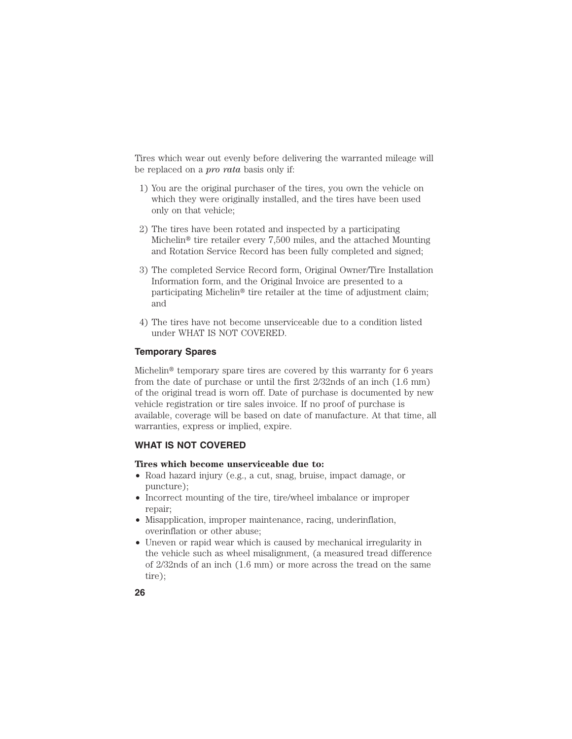Tires which wear out evenly before delivering the warranted mileage will be replaced on a *pro rata* basis only if:

- 1) You are the original purchaser of the tires, you own the vehicle on which they were originally installed, and the tires have been used only on that vehicle;
- 2) The tires have been rotated and inspected by a participating Michelin<sup>®</sup> tire retailer every  $7,500$  miles, and the attached Mounting and Rotation Service Record has been fully completed and signed;
- 3) The completed Service Record form, Original Owner/Tire Installation Information form, and the Original Invoice are presented to a participating Michelin<sup>®</sup> tire retailer at the time of adjustment claim; and
- 4) The tires have not become unserviceable due to a condition listed under WHAT IS NOT COVERED.

#### **Temporary Spares**

Michelin<sup>®</sup> temporary spare tires are covered by this warranty for  $6$  years from the date of purchase or until the first 2/32nds of an inch (1.6 mm) of the original tread is worn off. Date of purchase is documented by new vehicle registration or tire sales invoice. If no proof of purchase is available, coverage will be based on date of manufacture. At that time, all warranties, express or implied, expire.

## **WHAT IS NOT COVERED**

## **Tires which become unserviceable due to:**

- Road hazard injury (e.g., a cut, snag, bruise, impact damage, or puncture);
- Incorrect mounting of the tire, tire/wheel imbalance or improper repair;
- Misapplication, improper maintenance, racing, underinflation, overinflation or other abuse;
- Uneven or rapid wear which is caused by mechanical irregularity in the vehicle such as wheel misalignment, (a measured tread difference of 2/32nds of an inch (1.6 mm) or more across the tread on the same tire);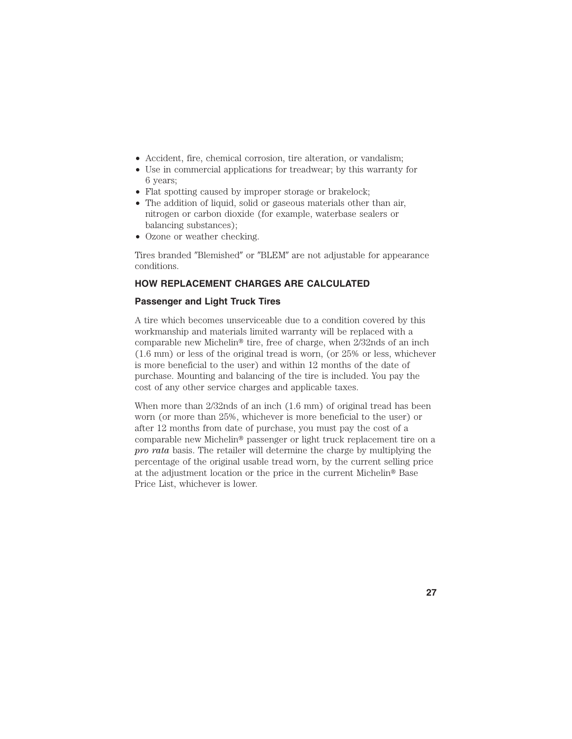- Accident, fire, chemical corrosion, tire alteration, or vandalism;
- Use in commercial applications for treadwear; by this warranty for 6 years;
- Flat spotting caused by improper storage or brakelock;
- The addition of liquid, solid or gaseous materials other than air, nitrogen or carbon dioxide (for example, waterbase sealers or balancing substances);
- Ozone or weather checking.

Tires branded "Blemished" or "BLEM" are not adjustable for appearance conditions.

## **HOW REPLACEMENT CHARGES ARE CALCULATED**

#### **Passenger and Light Truck Tires**

A tire which becomes unserviceable due to a condition covered by this workmanship and materials limited warranty will be replaced with a comparable new Michelin<sup>®</sup> tire, free of charge, when  $2/32$ nds of an inch (1.6 mm) or less of the original tread is worn, (or 25% or less, whichever is more beneficial to the user) and within 12 months of the date of purchase. Mounting and balancing of the tire is included. You pay the cost of any other service charges and applicable taxes.

When more than 2/32nds of an inch (1.6 mm) of original tread has been worn (or more than 25%, whichever is more beneficial to the user) or after 12 months from date of purchase, you must pay the cost of a comparable new Michelin<sup>®</sup> passenger or light truck replacement tire on a *pro rata* basis. The retailer will determine the charge by multiplying the percentage of the original usable tread worn, by the current selling price at the adjustment location or the price in the current Michelin<sup>®</sup> Base Price List, whichever is lower.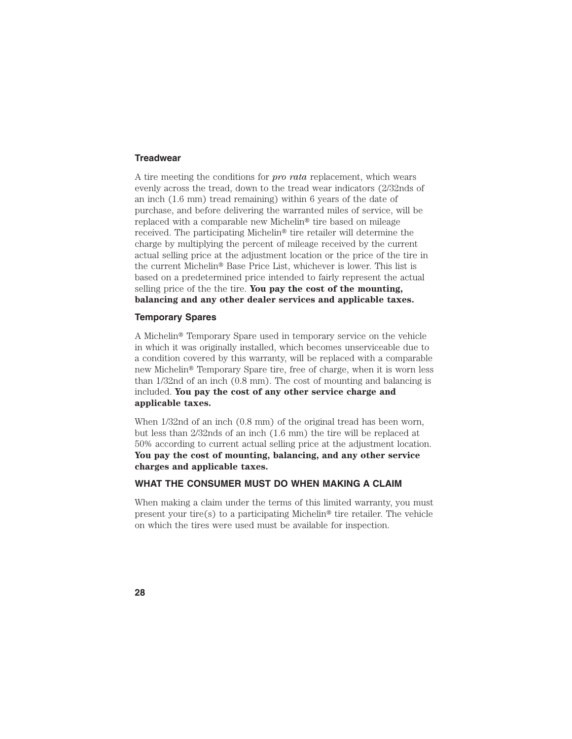#### **Treadwear**

A tire meeting the conditions for *pro rata* replacement, which wears evenly across the tread, down to the tread wear indicators (2/32nds of an inch (1.6 mm) tread remaining) within 6 years of the date of purchase, and before delivering the warranted miles of service, will be replaced with a comparable new Michelin<sup>®</sup> tire based on mileage received. The participating Michelin<sup>®</sup> tire retailer will determine the charge by multiplying the percent of mileage received by the current actual selling price at the adjustment location or the price of the tire in the current Michelin<sup>®</sup> Base Price List, whichever is lower. This list is based on a predetermined price intended to fairly represent the actual selling price of the the tire. **You pay the cost of the mounting, balancing and any other dealer services and applicable taxes.**

#### **Temporary Spares**

A Michelin<sup>®</sup> Temporary Spare used in temporary service on the vehicle in which it was originally installed, which becomes unserviceable due to a condition covered by this warranty, will be replaced with a comparable new Michelin<sup>®</sup> Temporary Spare tire, free of charge, when it is worn less than 1/32nd of an inch (0.8 mm). The cost of mounting and balancing is included. **You pay the cost of any other service charge and applicable taxes.**

When 1/32nd of an inch (0.8 mm) of the original tread has been worn, but less than 2/32nds of an inch (1.6 mm) the tire will be replaced at 50% according to current actual selling price at the adjustment location. **You pay the cost of mounting, balancing, and any other service charges and applicable taxes.**

#### **WHAT THE CONSUMER MUST DO WHEN MAKING A CLAIM**

When making a claim under the terms of this limited warranty, you must present your tire(s) to a participating Michelin<sup>®</sup> tire retailer. The vehicle on which the tires were used must be available for inspection.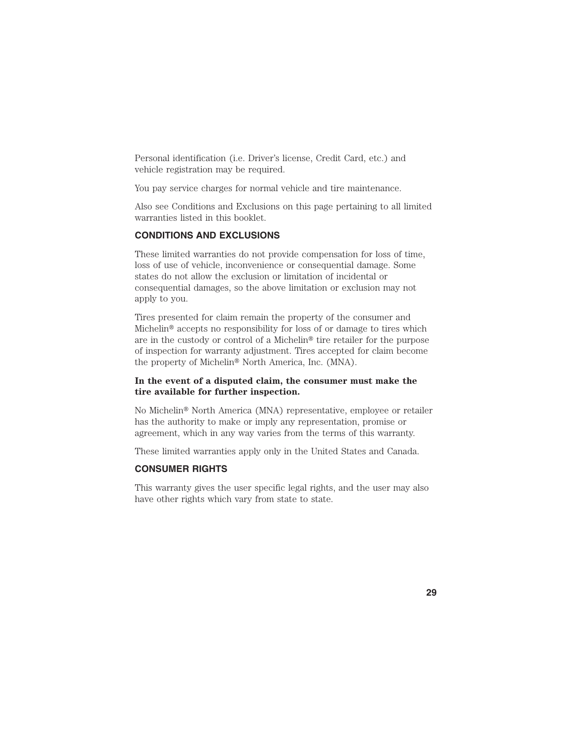Personal identification (i.e. Driver's license, Credit Card, etc.) and vehicle registration may be required.

You pay service charges for normal vehicle and tire maintenance.

Also see Conditions and Exclusions on this page pertaining to all limited warranties listed in this booklet.

#### **CONDITIONS AND EXCLUSIONS**

These limited warranties do not provide compensation for loss of time, loss of use of vehicle, inconvenience or consequential damage. Some states do not allow the exclusion or limitation of incidental or consequential damages, so the above limitation or exclusion may not apply to you.

Tires presented for claim remain the property of the consumer and Michelin<sup>®</sup> accepts no responsibility for loss of or damage to tires which are in the custody or control of a Michelin<sup>®</sup> tire retailer for the purpose of inspection for warranty adjustment. Tires accepted for claim become the property of Michelin<sup>®</sup> North America, Inc. (MNA).

#### **In the event of a disputed claim, the consumer must make the tire available for further inspection.**

No Michelin® North America (MNA) representative, employee or retailer has the authority to make or imply any representation, promise or agreement, which in any way varies from the terms of this warranty.

These limited warranties apply only in the United States and Canada.

#### **CONSUMER RIGHTS**

This warranty gives the user specific legal rights, and the user may also have other rights which vary from state to state.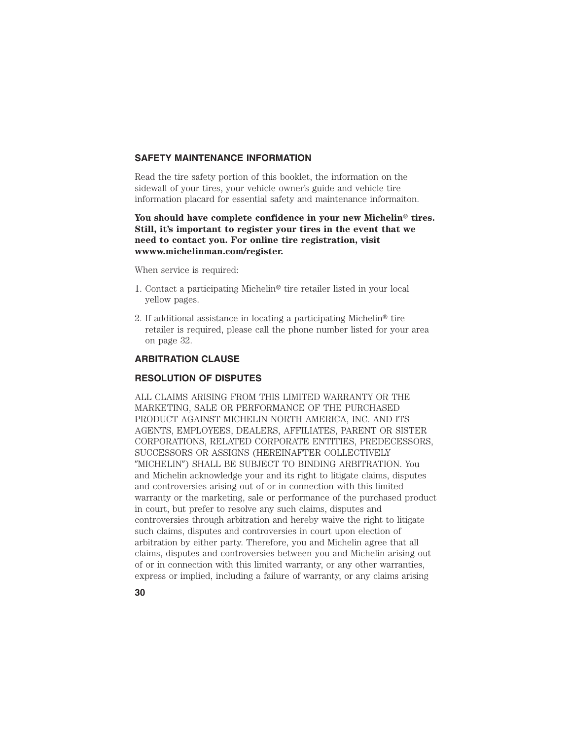## **SAFETY MAINTENANCE INFORMATION**

Read the tire safety portion of this booklet, the information on the sidewall of your tires, your vehicle owner's guide and vehicle tire information placard for essential safety and maintenance informaiton.

You should have complete confidence in your new Michelin<sup>®</sup> tires. **Still, it's important to register your tires in the event that we need to contact you. For online tire registration, visit wwww.michelinman.com/register.**

When service is required:

- 1. Contact a participating Michelin<sup>®</sup> tire retailer listed in your local yellow pages.
- 2. If additional assistance in locating a participating Michelin<sup>®</sup> tire retailer is required, please call the phone number listed for your area on page 32.

## **ARBITRATION CLAUSE**

## **RESOLUTION OF DISPUTES**

ALL CLAIMS ARISING FROM THIS LIMITED WARRANTY OR THE MARKETING, SALE OR PERFORMANCE OF THE PURCHASED PRODUCT AGAINST MICHELIN NORTH AMERICA, INC. AND ITS AGENTS, EMPLOYEES, DEALERS, AFFILIATES, PARENT OR SISTER CORPORATIONS, RELATED CORPORATE ENTITIES, PREDECESSORS, SUCCESSORS OR ASSIGNS (HEREINAFTER COLLECTIVELY "MICHELIN") SHALL BE SUBJECT TO BINDING ARBITRATION. You and Michelin acknowledge your and its right to litigate claims, disputes and controversies arising out of or in connection with this limited warranty or the marketing, sale or performance of the purchased product in court, but prefer to resolve any such claims, disputes and controversies through arbitration and hereby waive the right to litigate such claims, disputes and controversies in court upon election of arbitration by either party. Therefore, you and Michelin agree that all claims, disputes and controversies between you and Michelin arising out of or in connection with this limited warranty, or any other warranties, express or implied, including a failure of warranty, or any claims arising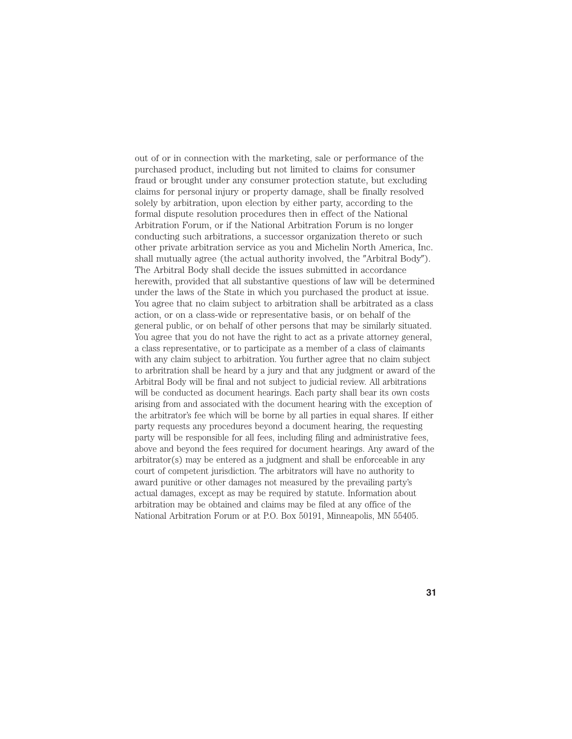out of or in connection with the marketing, sale or performance of the purchased product, including but not limited to claims for consumer fraud or brought under any consumer protection statute, but excluding claims for personal injury or property damage, shall be finally resolved solely by arbitration, upon election by either party, according to the formal dispute resolution procedures then in effect of the National Arbitration Forum, or if the National Arbitration Forum is no longer conducting such arbitrations, a successor organization thereto or such other private arbitration service as you and Michelin North America, Inc. shall mutually agree (the actual authority involved, the "Arbitral Body"). The Arbitral Body shall decide the issues submitted in accordance herewith, provided that all substantive questions of law will be determined under the laws of the State in which you purchased the product at issue. You agree that no claim subject to arbitration shall be arbitrated as a class action, or on a class-wide or representative basis, or on behalf of the general public, or on behalf of other persons that may be similarly situated. You agree that you do not have the right to act as a private attorney general, a class representative, or to participate as a member of a class of claimants with any claim subject to arbitration. You further agree that no claim subject to arbritration shall be heard by a jury and that any judgment or award of the Arbitral Body will be final and not subject to judicial review. All arbitrations will be conducted as document hearings. Each party shall bear its own costs arising from and associated with the document hearing with the exception of the arbitrator's fee which will be borne by all parties in equal shares. If either party requests any procedures beyond a document hearing, the requesting party will be responsible for all fees, including filing and administrative fees, above and beyond the fees required for document hearings. Any award of the arbitrator(s) may be entered as a judgment and shall be enforceable in any court of competent jurisdiction. The arbitrators will have no authority to award punitive or other damages not measured by the prevailing party's actual damages, except as may be required by statute. Information about arbitration may be obtained and claims may be filed at any office of the National Arbitration Forum or at P.O. Box 50191, Minneapolis, MN 55405.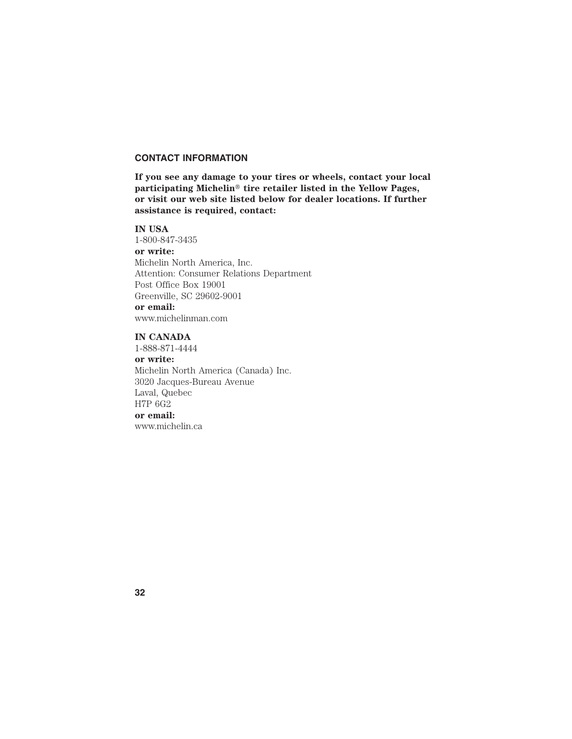#### **CONTACT INFORMATION**

**If you see any damage to your tires or wheels, contact your local** participating Michelin<sup>®</sup> tire retailer listed in the Yellow Pages, **or visit our web site listed below for dealer locations. If further assistance is required, contact:**

#### **IN USA**

1-800-847-3435 **or write:** Michelin North America, Inc. Attention: Consumer Relations Department Post Office Box 19001 Greenville, SC 29602-9001 **or email:** www.michelinman.com

**IN CANADA**

1-888-871-4444 **or write:** Michelin North America (Canada) Inc. 3020 Jacques-Bureau Avenue Laval, Quebec H7P 6G2

**or email:** www.michelin.ca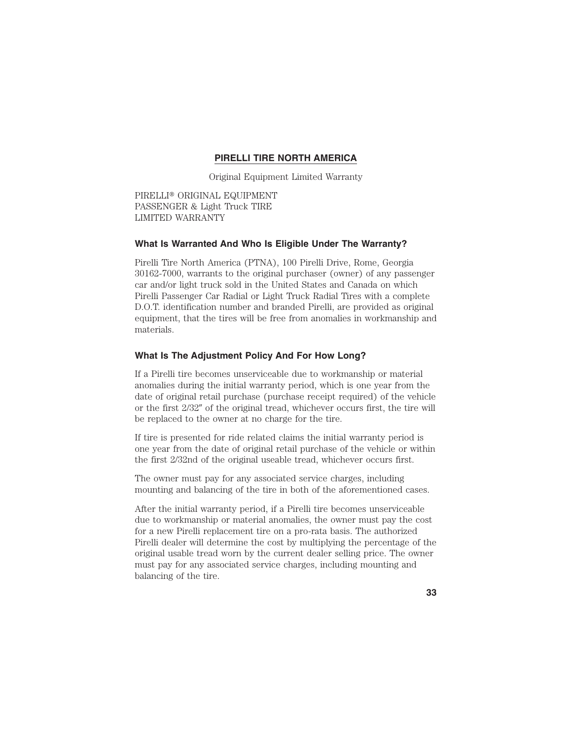## **PIRELLI TIRE NORTH AMERICA**

Original Equipment Limited Warranty

PIRELLI® ORIGINAL EQUIPMENT PASSENGER & Light Truck TIRE LIMITED WARRANTY

#### **What Is Warranted And Who Is Eligible Under The Warranty?**

Pirelli Tire North America (PTNA), 100 Pirelli Drive, Rome, Georgia 30162-7000, warrants to the original purchaser (owner) of any passenger car and/or light truck sold in the United States and Canada on which Pirelli Passenger Car Radial or Light Truck Radial Tires with a complete D.O.T. identification number and branded Pirelli, are provided as original equipment, that the tires will be free from anomalies in workmanship and materials.

#### **What Is The Adjustment Policy And For How Long?**

If a Pirelli tire becomes unserviceable due to workmanship or material anomalies during the initial warranty period, which is one year from the date of original retail purchase (purchase receipt required) of the vehicle or the first  $2/32''$  of the original tread, whichever occurs first, the tire will be replaced to the owner at no charge for the tire.

If tire is presented for ride related claims the initial warranty period is one year from the date of original retail purchase of the vehicle or within the first 2/32nd of the original useable tread, whichever occurs first.

The owner must pay for any associated service charges, including mounting and balancing of the tire in both of the aforementioned cases.

After the initial warranty period, if a Pirelli tire becomes unserviceable due to workmanship or material anomalies, the owner must pay the cost for a new Pirelli replacement tire on a pro-rata basis. The authorized Pirelli dealer will determine the cost by multiplying the percentage of the original usable tread worn by the current dealer selling price. The owner must pay for any associated service charges, including mounting and balancing of the tire.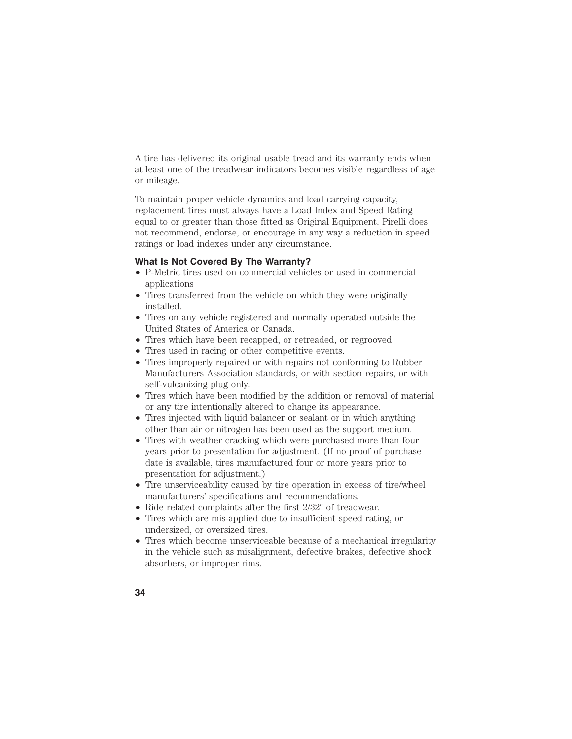A tire has delivered its original usable tread and its warranty ends when at least one of the treadwear indicators becomes visible regardless of age or mileage.

To maintain proper vehicle dynamics and load carrying capacity, replacement tires must always have a Load Index and Speed Rating equal to or greater than those fitted as Original Equipment. Pirelli does not recommend, endorse, or encourage in any way a reduction in speed ratings or load indexes under any circumstance.

#### **What Is Not Covered By The Warranty?**

- P-Metric tires used on commercial vehicles or used in commercial applications
- Tires transferred from the vehicle on which they were originally installed.
- Tires on any vehicle registered and normally operated outside the United States of America or Canada.
- Tires which have been recapped, or retreaded, or regrooved.
- Tires used in racing or other competitive events.
- Tires improperly repaired or with repairs not conforming to Rubber Manufacturers Association standards, or with section repairs, or with self-vulcanizing plug only.
- Tires which have been modified by the addition or removal of material or any tire intentionally altered to change its appearance.
- Tires injected with liquid balancer or sealant or in which anything other than air or nitrogen has been used as the support medium.
- Tires with weather cracking which were purchased more than four years prior to presentation for adjustment. (If no proof of purchase date is available, tires manufactured four or more years prior to presentation for adjustment.)
- Tire unserviceability caused by tire operation in excess of tire/wheel manufacturers' specifications and recommendations.
- Ride related complaints after the first  $2/32''$  of treadwear.
- Tires which are mis-applied due to insufficient speed rating, or undersized, or oversized tires.
- Tires which become unserviceable because of a mechanical irregularity in the vehicle such as misalignment, defective brakes, defective shock absorbers, or improper rims.
- **34**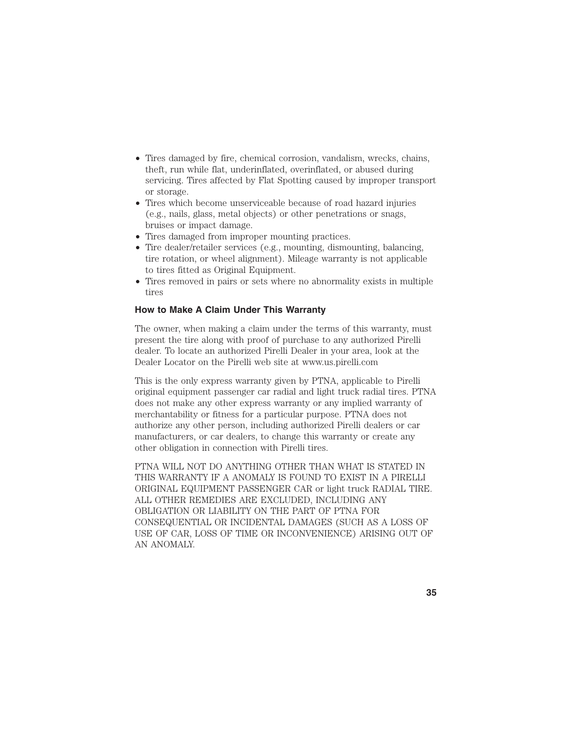- Tires damaged by fire, chemical corrosion, vandalism, wrecks, chains, theft, run while flat, underinflated, overinflated, or abused during servicing. Tires affected by Flat Spotting caused by improper transport or storage.
- Tires which become unserviceable because of road hazard injuries (e.g., nails, glass, metal objects) or other penetrations or snags, bruises or impact damage.
- Tires damaged from improper mounting practices.
- Tire dealer/retailer services (e.g., mounting, dismounting, balancing, tire rotation, or wheel alignment). Mileage warranty is not applicable to tires fitted as Original Equipment.
- Tires removed in pairs or sets where no abnormality exists in multiple tires

## **How to Make A Claim Under This Warranty**

The owner, when making a claim under the terms of this warranty, must present the tire along with proof of purchase to any authorized Pirelli dealer. To locate an authorized Pirelli Dealer in your area, look at the Dealer Locator on the Pirelli web site at www.us.pirelli.com

This is the only express warranty given by PTNA, applicable to Pirelli original equipment passenger car radial and light truck radial tires. PTNA does not make any other express warranty or any implied warranty of merchantability or fitness for a particular purpose. PTNA does not authorize any other person, including authorized Pirelli dealers or car manufacturers, or car dealers, to change this warranty or create any other obligation in connection with Pirelli tires.

PTNA WILL NOT DO ANYTHING OTHER THAN WHAT IS STATED IN THIS WARRANTY IF A ANOMALY IS FOUND TO EXIST IN A PIRELLI ORIGINAL EQUIPMENT PASSENGER CAR or light truck RADIAL TIRE. ALL OTHER REMEDIES ARE EXCLUDED, INCLUDING ANY OBLIGATION OR LIABILITY ON THE PART OF PTNA FOR CONSEQUENTIAL OR INCIDENTAL DAMAGES (SUCH AS A LOSS OF USE OF CAR, LOSS OF TIME OR INCONVENIENCE) ARISING OUT OF AN ANOMALY.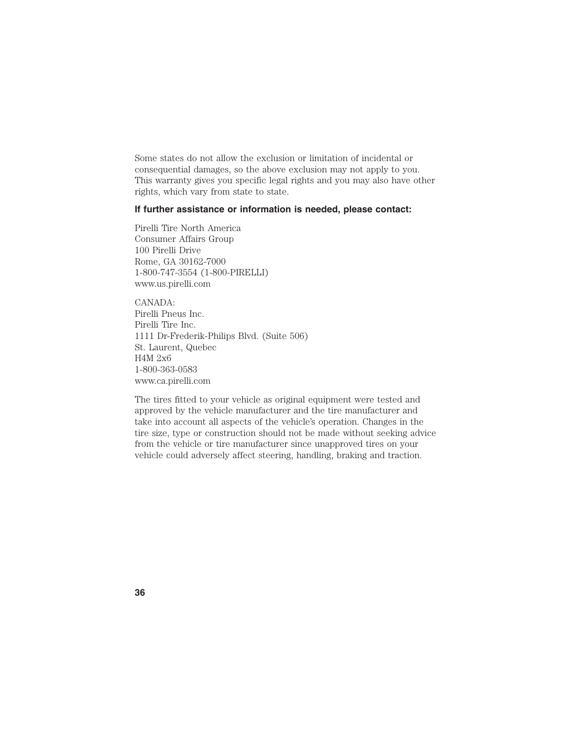Some states do not allow the exclusion or limitation of incidental or consequential damages, so the above exclusion may not apply to you. This warranty gives you specific legal rights and you may also have other rights, which vary from state to state.

## **If further assistance or information is needed, please contact:**

Pirelli Tire North America Consumer Affairs Group 100 Pirelli Drive Rome, GA 30162-7000 1-800-747-3554 (1-800-PIRELLI) www.us.pirelli.com

CANADA: Pirelli Pneus Inc. Pirelli Tire Inc. 1111 Dr-Frederik-Philips Blvd. (Suite 506) St. Laurent, Quebec H4M 2x6 1-800-363-0583 www.ca.pirelli.com

The tires fitted to your vehicle as original equipment were tested and approved by the vehicle manufacturer and the tire manufacturer and take into account all aspects of the vehicle's operation. Changes in the tire size, type or construction should not be made without seeking advice from the vehicle or tire manufacturer since unapproved tires on your vehicle could adversely affect steering, handling, braking and traction.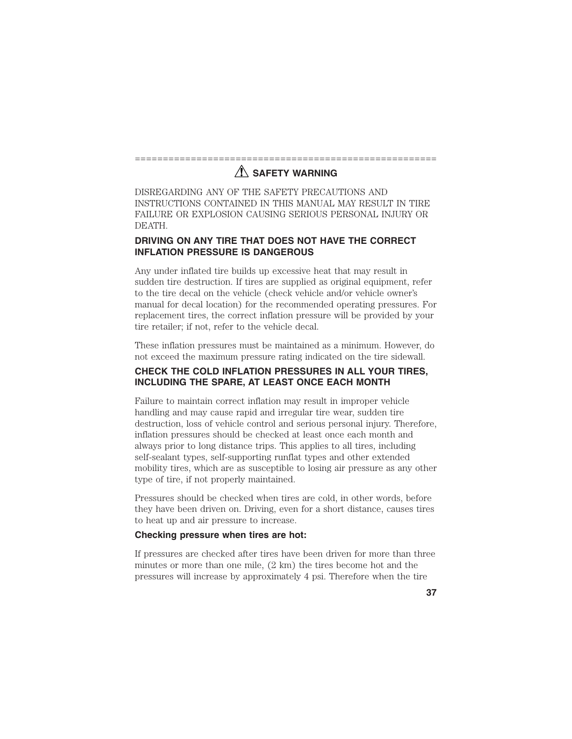## ======================================================  $\Lambda$  SAFETY WARNING

DISREGARDING ANY OF THE SAFETY PRECAUTIONS AND INSTRUCTIONS CONTAINED IN THIS MANUAL MAY RESULT IN TIRE FAILURE OR EXPLOSION CAUSING SERIOUS PERSONAL INJURY OR DEATH.

## **DRIVING ON ANY TIRE THAT DOES NOT HAVE THE CORRECT INFLATION PRESSURE IS DANGEROUS**

Any under inflated tire builds up excessive heat that may result in sudden tire destruction. If tires are supplied as original equipment, refer to the tire decal on the vehicle (check vehicle and/or vehicle owner's manual for decal location) for the recommended operating pressures. For replacement tires, the correct inflation pressure will be provided by your tire retailer; if not, refer to the vehicle decal.

These inflation pressures must be maintained as a minimum. However, do not exceed the maximum pressure rating indicated on the tire sidewall.

## **CHECK THE COLD INFLATION PRESSURES IN ALL YOUR TIRES, INCLUDING THE SPARE, AT LEAST ONCE EACH MONTH**

Failure to maintain correct inflation may result in improper vehicle handling and may cause rapid and irregular tire wear, sudden tire destruction, loss of vehicle control and serious personal injury. Therefore, inflation pressures should be checked at least once each month and always prior to long distance trips. This applies to all tires, including self-sealant types, self-supporting runflat types and other extended mobility tires, which are as susceptible to losing air pressure as any other type of tire, if not properly maintained.

Pressures should be checked when tires are cold, in other words, before they have been driven on. Driving, even for a short distance, causes tires to heat up and air pressure to increase.

## **Checking pressure when tires are hot:**

If pressures are checked after tires have been driven for more than three minutes or more than one mile, (2 km) the tires become hot and the pressures will increase by approximately 4 psi. Therefore when the tire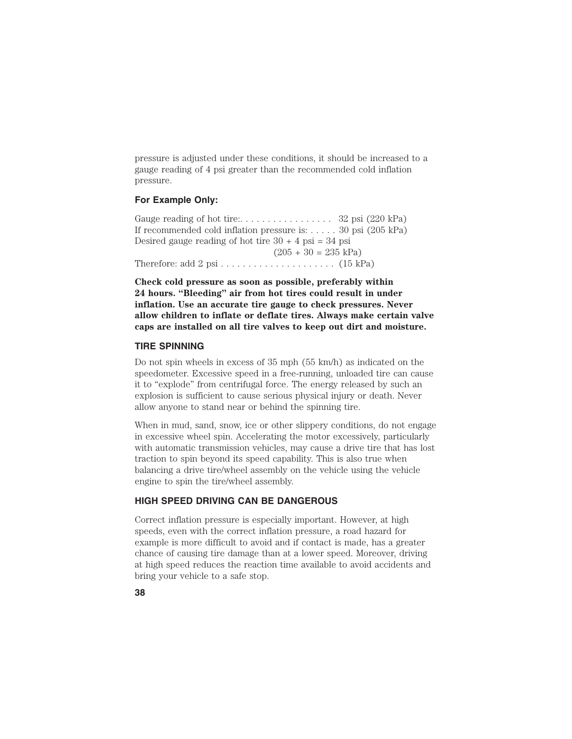pressure is adjusted under these conditions, it should be increased to a gauge reading of 4 psi greater than the recommended cold inflation pressure.

## **For Example Only:**

Gauge reading of hot tire:. . . . . . . . . . . . . . . . . 32 psi (220 kPa) If recommended cold inflation pressure is: . . . . . 30 psi (205 kPa) Desired gauge reading of hot tire  $30 + 4$  psi = 34 psi  $(205 + 30 = 235 \text{ kPa})$ Therefore: add 2 psi . . . . . . . . . . . . . . . . . . . . . (15 kPa)

**Check cold pressure as soon as possible, preferably within 24 hours. "Bleeding" air from hot tires could result in under inflation. Use an accurate tire gauge to check pressures. Never allow children to inflate or deflate tires. Always make certain valve caps are installed on all tire valves to keep out dirt and moisture.**

#### **TIRE SPINNING**

Do not spin wheels in excess of 35 mph (55 km/h) as indicated on the speedometer. Excessive speed in a free-running, unloaded tire can cause it to "explode" from centrifugal force. The energy released by such an explosion is sufficient to cause serious physical injury or death. Never allow anyone to stand near or behind the spinning tire.

When in mud, sand, snow, ice or other slippery conditions, do not engage in excessive wheel spin. Accelerating the motor excessively, particularly with automatic transmission vehicles, may cause a drive tire that has lost traction to spin beyond its speed capability. This is also true when balancing a drive tire/wheel assembly on the vehicle using the vehicle engine to spin the tire/wheel assembly.

## **HIGH SPEED DRIVING CAN BE DANGEROUS**

Correct inflation pressure is especially important. However, at high speeds, even with the correct inflation pressure, a road hazard for example is more difficult to avoid and if contact is made, has a greater chance of causing tire damage than at a lower speed. Moreover, driving at high speed reduces the reaction time available to avoid accidents and bring your vehicle to a safe stop.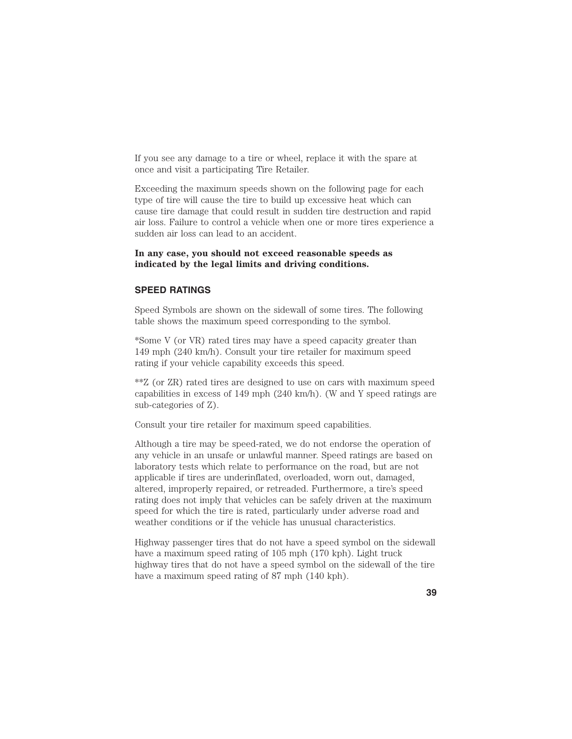If you see any damage to a tire or wheel, replace it with the spare at once and visit a participating Tire Retailer.

Exceeding the maximum speeds shown on the following page for each type of tire will cause the tire to build up excessive heat which can cause tire damage that could result in sudden tire destruction and rapid air loss. Failure to control a vehicle when one or more tires experience a sudden air loss can lead to an accident.

## **In any case, you should not exceed reasonable speeds as indicated by the legal limits and driving conditions.**

#### **SPEED RATINGS**

Speed Symbols are shown on the sidewall of some tires. The following table shows the maximum speed corresponding to the symbol.

\*Some V (or VR) rated tires may have a speed capacity greater than 149 mph (240 km/h). Consult your tire retailer for maximum speed rating if your vehicle capability exceeds this speed.

\*\*Z (or ZR) rated tires are designed to use on cars with maximum speed capabilities in excess of 149 mph (240 km/h). (W and Y speed ratings are sub-categories of Z).

Consult your tire retailer for maximum speed capabilities.

Although a tire may be speed-rated, we do not endorse the operation of any vehicle in an unsafe or unlawful manner. Speed ratings are based on laboratory tests which relate to performance on the road, but are not applicable if tires are underinflated, overloaded, worn out, damaged, altered, improperly repaired, or retreaded. Furthermore, a tire's speed rating does not imply that vehicles can be safely driven at the maximum speed for which the tire is rated, particularly under adverse road and weather conditions or if the vehicle has unusual characteristics.

Highway passenger tires that do not have a speed symbol on the sidewall have a maximum speed rating of 105 mph (170 kph). Light truck highway tires that do not have a speed symbol on the sidewall of the tire have a maximum speed rating of 87 mph (140 kph).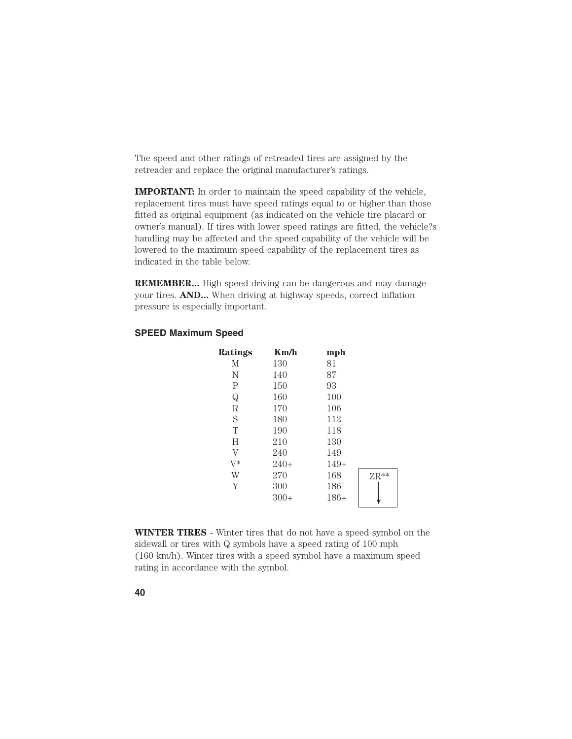The speed and other ratings of retreaded tires are assigned by the retreader and replace the original manufacturer's ratings.

**IMPORTANT:** In order to maintain the speed capability of the vehicle, replacement tires must have speed ratings equal to or higher than those fitted as original equipment (as indicated on the vehicle tire placard or owner's manual). If tires with lower speed ratings are fitted, the vehicle?s handling may be affected and the speed capability of the vehicle will be lowered to the maximum speed capability of the replacement tires as indicated in the table below.

**REMEMBER...** High speed driving can be dangerous and may damage your tires. **AND...** When driving at highway speeds, correct inflation pressure is especially important.

## **SPEED Maximum Speed**

| <b>Ratings</b> | Km/h   | mph    |               |
|----------------|--------|--------|---------------|
| М              | 130    | 81     |               |
| N              | 140    | 87     |               |
| $\mathsf{P}$   | 150    | 93     |               |
| $\mathbf Q$    | 160    | 100    |               |
| $\mathbb R$    | 170    | 106    |               |
| S              | 180    | 112    |               |
| T              | 190    | 118    |               |
| H              | 210    | 130    |               |
| $\rm V$        | 240    | 149    |               |
| $V^*$          | $240+$ | $149+$ |               |
| W              | 270    | 168    | $\text{ZR}^*$ |
| Y              | 300    | 186    |               |
|                | $300+$ | $186+$ |               |
|                |        |        |               |

**WINTER TIRES** - Winter tires that do not have a speed symbol on the sidewall or tires with Q symbols have a speed rating of 100 mph (160 km/h). Winter tires with a speed symbol have a maximum speed rating in accordance with the symbol.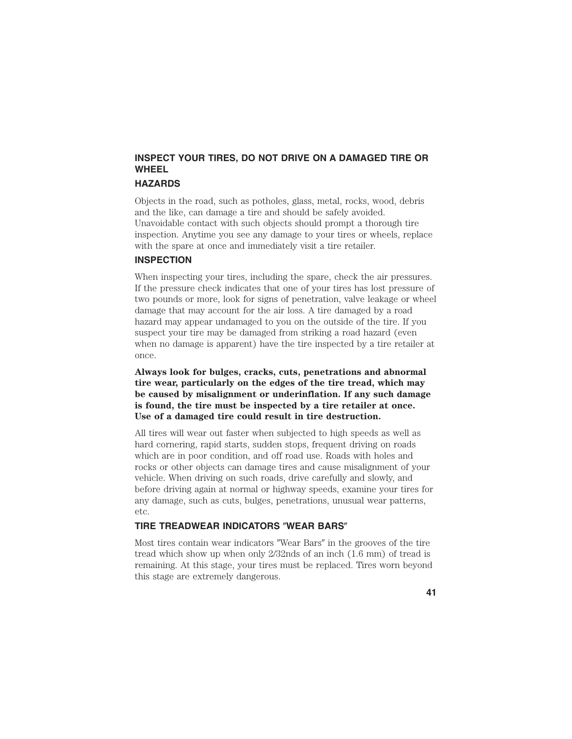## **INSPECT YOUR TIRES, DO NOT DRIVE ON A DAMAGED TIRE OR WHEEL**

## **HAZARDS**

Objects in the road, such as potholes, glass, metal, rocks, wood, debris and the like, can damage a tire and should be safely avoided. Unavoidable contact with such objects should prompt a thorough tire inspection. Anytime you see any damage to your tires or wheels, replace with the spare at once and immediately visit a tire retailer.

## **INSPECTION**

When inspecting your tires, including the spare, check the air pressures. If the pressure check indicates that one of your tires has lost pressure of two pounds or more, look for signs of penetration, valve leakage or wheel damage that may account for the air loss. A tire damaged by a road hazard may appear undamaged to you on the outside of the tire. If you suspect your tire may be damaged from striking a road hazard (even when no damage is apparent) have the tire inspected by a tire retailer at once.

**Always look for bulges, cracks, cuts, penetrations and abnormal tire wear, particularly on the edges of the tire tread, which may be caused by misalignment or underinflation. If any such damage is found, the tire must be inspected by a tire retailer at once. Use of a damaged tire could result in tire destruction.**

All tires will wear out faster when subjected to high speeds as well as hard cornering, rapid starts, sudden stops, frequent driving on roads which are in poor condition, and off road use. Roads with holes and rocks or other objects can damage tires and cause misalignment of your vehicle. When driving on such roads, drive carefully and slowly, and before driving again at normal or highway speeds, examine your tires for any damage, such as cuts, bulges, penetrations, unusual wear patterns, etc.

## **TIRE TREADWEAR INDICATORS "WEAR BARS"**

Most tires contain wear indicators "Wear Bars" in the grooves of the tire tread which show up when only 2/32nds of an inch (1.6 mm) of tread is remaining. At this stage, your tires must be replaced. Tires worn beyond this stage are extremely dangerous.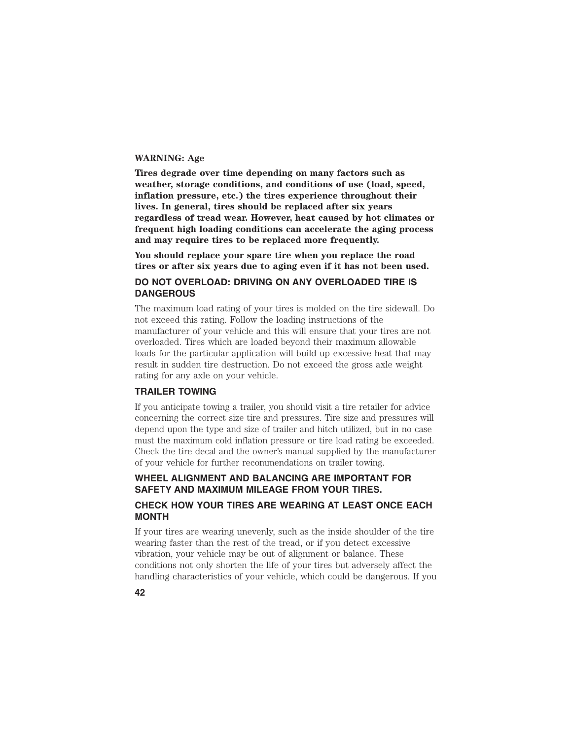#### **WARNING: Age**

**Tires degrade over time depending on many factors such as weather, storage conditions, and conditions of use (load, speed, inflation pressure, etc.) the tires experience throughout their lives. In general, tires should be replaced after six years regardless of tread wear. However, heat caused by hot climates or frequent high loading conditions can accelerate the aging process and may require tires to be replaced more frequently.**

**You should replace your spare tire when you replace the road tires or after six years due to aging even if it has not been used.**

## **DO NOT OVERLOAD: DRIVING ON ANY OVERLOADED TIRE IS DANGEROUS**

The maximum load rating of your tires is molded on the tire sidewall. Do not exceed this rating. Follow the loading instructions of the manufacturer of your vehicle and this will ensure that your tires are not overloaded. Tires which are loaded beyond their maximum allowable loads for the particular application will build up excessive heat that may result in sudden tire destruction. Do not exceed the gross axle weight rating for any axle on your vehicle.

## **TRAILER TOWING**

If you anticipate towing a trailer, you should visit a tire retailer for advice concerning the correct size tire and pressures. Tire size and pressures will depend upon the type and size of trailer and hitch utilized, but in no case must the maximum cold inflation pressure or tire load rating be exceeded. Check the tire decal and the owner's manual supplied by the manufacturer of your vehicle for further recommendations on trailer towing.

## **WHEEL ALIGNMENT AND BALANCING ARE IMPORTANT FOR SAFETY AND MAXIMUM MILEAGE FROM YOUR TIRES.**

## **CHECK HOW YOUR TIRES ARE WEARING AT LEAST ONCE EACH MONTH**

If your tires are wearing unevenly, such as the inside shoulder of the tire wearing faster than the rest of the tread, or if you detect excessive vibration, your vehicle may be out of alignment or balance. These conditions not only shorten the life of your tires but adversely affect the handling characteristics of your vehicle, which could be dangerous. If you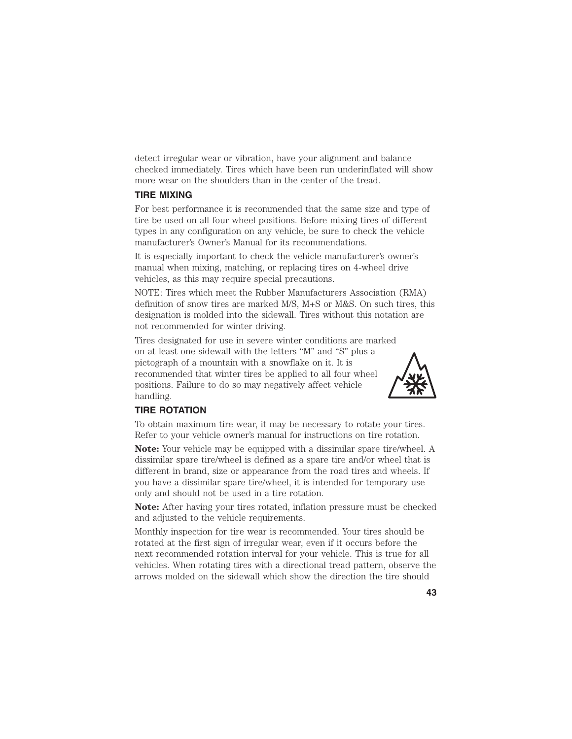detect irregular wear or vibration, have your alignment and balance checked immediately. Tires which have been run underinflated will show more wear on the shoulders than in the center of the tread.

## **TIRE MIXING**

For best performance it is recommended that the same size and type of tire be used on all four wheel positions. Before mixing tires of different types in any configuration on any vehicle, be sure to check the vehicle manufacturer's Owner's Manual for its recommendations.

It is especially important to check the vehicle manufacturer's owner's manual when mixing, matching, or replacing tires on 4-wheel drive vehicles, as this may require special precautions.

NOTE: Tires which meet the Rubber Manufacturers Association (RMA) definition of snow tires are marked M/S, M+S or M&S. On such tires, this designation is molded into the sidewall. Tires without this notation are not recommended for winter driving.

Tires designated for use in severe winter conditions are marked on at least one sidewall with the letters ''M" and ''S" plus a pictograph of a mountain with a snowflake on it. It is recommended that winter tires be applied to all four wheel positions. Failure to do so may negatively affect vehicle handling.



## **TIRE ROTATION**

To obtain maximum tire wear, it may be necessary to rotate your tires. Refer to your vehicle owner's manual for instructions on tire rotation.

**Note:** Your vehicle may be equipped with a dissimilar spare tire/wheel. A dissimilar spare tire/wheel is defined as a spare tire and/or wheel that is different in brand, size or appearance from the road tires and wheels. If you have a dissimilar spare tire/wheel, it is intended for temporary use only and should not be used in a tire rotation.

**Note:** After having your tires rotated, inflation pressure must be checked and adjusted to the vehicle requirements.

Monthly inspection for tire wear is recommended. Your tires should be rotated at the first sign of irregular wear, even if it occurs before the next recommended rotation interval for your vehicle. This is true for all vehicles. When rotating tires with a directional tread pattern, observe the arrows molded on the sidewall which show the direction the tire should

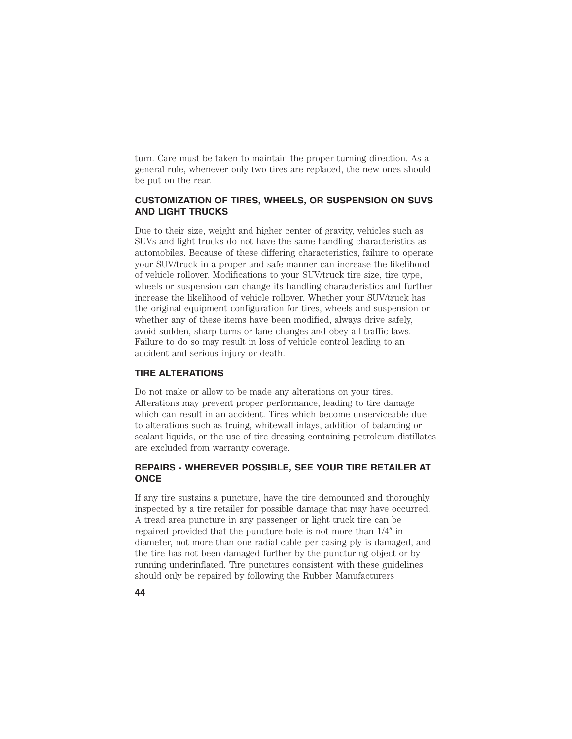turn. Care must be taken to maintain the proper turning direction. As a general rule, whenever only two tires are replaced, the new ones should be put on the rear.

## **CUSTOMIZATION OF TIRES, WHEELS, OR SUSPENSION ON SUVS AND LIGHT TRUCKS**

Due to their size, weight and higher center of gravity, vehicles such as SUVs and light trucks do not have the same handling characteristics as automobiles. Because of these differing characteristics, failure to operate your SUV/truck in a proper and safe manner can increase the likelihood of vehicle rollover. Modifications to your SUV/truck tire size, tire type, wheels or suspension can change its handling characteristics and further increase the likelihood of vehicle rollover. Whether your SUV/truck has the original equipment configuration for tires, wheels and suspension or whether any of these items have been modified, always drive safely, avoid sudden, sharp turns or lane changes and obey all traffic laws. Failure to do so may result in loss of vehicle control leading to an accident and serious injury or death.

#### **TIRE ALTERATIONS**

Do not make or allow to be made any alterations on your tires. Alterations may prevent proper performance, leading to tire damage which can result in an accident. Tires which become unserviceable due to alterations such as truing, whitewall inlays, addition of balancing or sealant liquids, or the use of tire dressing containing petroleum distillates are excluded from warranty coverage.

## **REPAIRS - WHEREVER POSSIBLE, SEE YOUR TIRE RETAILER AT ONCE**

If any tire sustains a puncture, have the tire demounted and thoroughly inspected by a tire retailer for possible damage that may have occurred. A tread area puncture in any passenger or light truck tire can be repaired provided that the puncture hole is not more than  $1/4$ " in diameter, not more than one radial cable per casing ply is damaged, and the tire has not been damaged further by the puncturing object or by running underinflated. Tire punctures consistent with these guidelines should only be repaired by following the Rubber Manufacturers

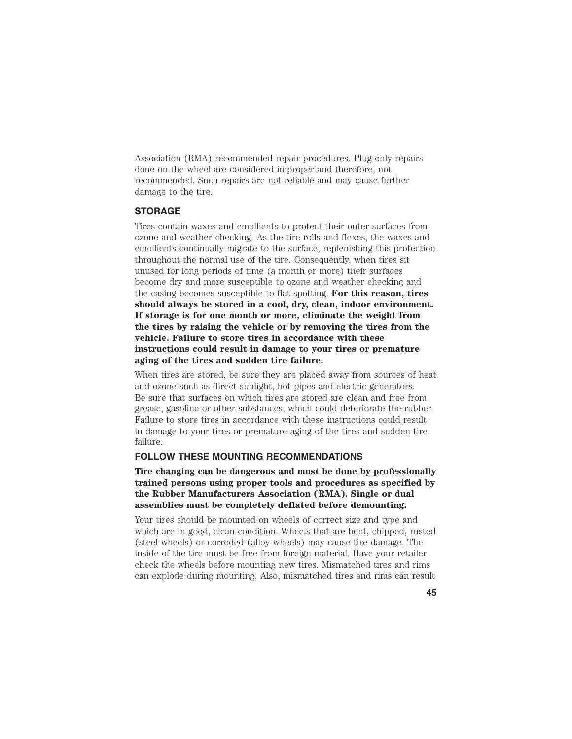Association (RMA) recommended repair procedures. Plug-only repairs done on-the-wheel are considered improper and therefore, not recommended. Such repairs are not reliable and may cause further damage to the tire.

## **STORAGE**

Tires contain waxes and emollients to protect their outer surfaces from ozone and weather checking. As the tire rolls and flexes, the waxes and emollients continually migrate to the surface, replenishing this protection throughout the normal use of the tire. Consequently, when tires sit unused for long periods of time (a month or more) their surfaces become dry and more susceptible to ozone and weather checking and the casing becomes susceptible to flat spotting. **For this reason, tires should always be stored in a cool, dry, clean, indoor environment. If storage is for one month or more, eliminate the weight from the tires by raising the vehicle or by removing the tires from the vehicle. Failure to store tires in accordance with these instructions could result in damage to your tires or premature aging of the tires and sudden tire failure.**

When tires are stored, be sure they are placed away from sources of heat and ozone such as direct sunlight, hot pipes and electric generators. Be sure that surfaces on which tires are stored are clean and free from grease, gasoline or other substances, which could deteriorate the rubber. Failure to store tires in accordance with these instructions could result in damage to your tires or premature aging of the tires and sudden tire failure.

## **FOLLOW THESE MOUNTING RECOMMENDATIONS**

**Tire changing can be dangerous and must be done by professionally trained persons using proper tools and procedures as specified by the Rubber Manufacturers Association (RMA). Single or dual assemblies must be completely deflated before demounting.**

Your tires should be mounted on wheels of correct size and type and which are in good, clean condition. Wheels that are bent, chipped, rusted (steel wheels) or corroded (alloy wheels) may cause tire damage. The inside of the tire must be free from foreign material. Have your retailer check the wheels before mounting new tires. Mismatched tires and rims can explode during mounting. Also, mismatched tires and rims can result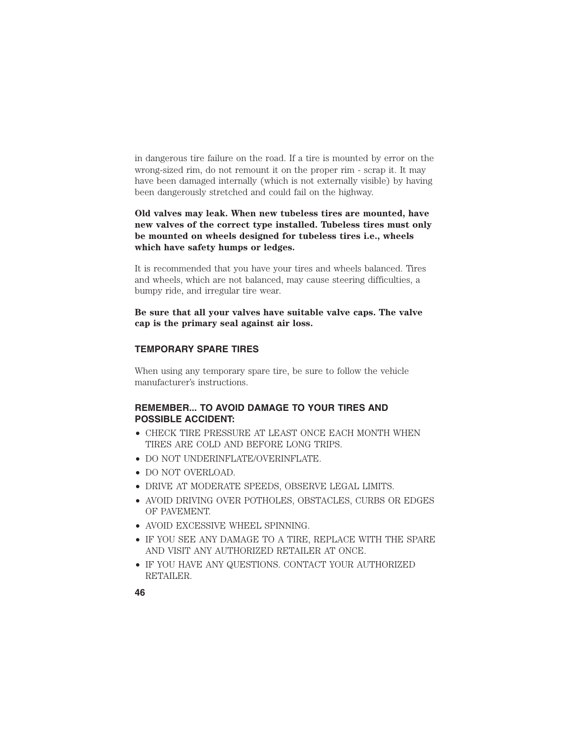in dangerous tire failure on the road. If a tire is mounted by error on the wrong-sized rim, do not remount it on the proper rim - scrap it. It may have been damaged internally (which is not externally visible) by having been dangerously stretched and could fail on the highway.

**Old valves may leak. When new tubeless tires are mounted, have new valves of the correct type installed. Tubeless tires must only be mounted on wheels designed for tubeless tires i.e., wheels which have safety humps or ledges.**

It is recommended that you have your tires and wheels balanced. Tires and wheels, which are not balanced, may cause steering difficulties, a bumpy ride, and irregular tire wear.

**Be sure that all your valves have suitable valve caps. The valve cap is the primary seal against air loss.**

## **TEMPORARY SPARE TIRES**

When using any temporary spare tire, be sure to follow the vehicle manufacturer's instructions.

## **REMEMBER... TO AVOID DAMAGE TO YOUR TIRES AND POSSIBLE ACCIDENT:**

- CHECK TIRE PRESSURE AT LEAST ONCE EACH MONTH WHEN TIRES ARE COLD AND BEFORE LONG TRIPS.
- DO NOT UNDERINFLATE/OVERINFLATE.
- DO NOT OVERLOAD.
- DRIVE AT MODERATE SPEEDS, OBSERVE LEGAL LIMITS.
- AVOID DRIVING OVER POTHOLES, OBSTACLES, CURBS OR EDGES OF PAVEMENT.
- AVOID EXCESSIVE WHEEL SPINNING.
- IF YOU SEE ANY DAMAGE TO A TIRE, REPLACE WITH THE SPARE AND VISIT ANY AUTHORIZED RETAILER AT ONCE.
- IF YOU HAVE ANY QUESTIONS. CONTACT YOUR AUTHORIZED RETAILER.